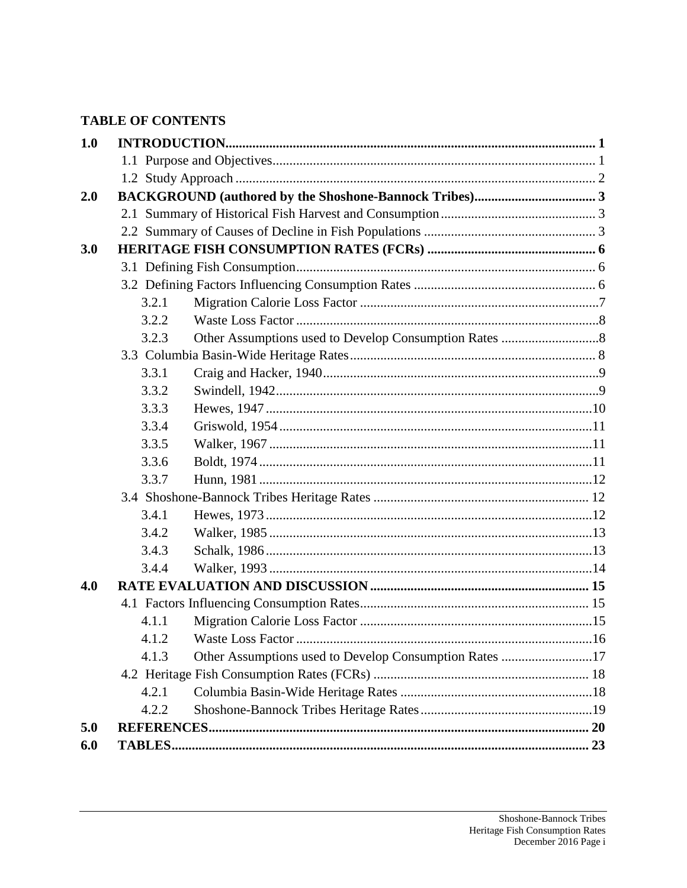# **TABLE OF CONTENTS**

| 1.0 |       |                                                        |  |  |  |  |
|-----|-------|--------------------------------------------------------|--|--|--|--|
|     |       |                                                        |  |  |  |  |
|     |       |                                                        |  |  |  |  |
| 2.0 |       |                                                        |  |  |  |  |
|     |       |                                                        |  |  |  |  |
|     |       |                                                        |  |  |  |  |
| 3.0 |       |                                                        |  |  |  |  |
|     |       |                                                        |  |  |  |  |
|     |       |                                                        |  |  |  |  |
|     | 3.2.1 |                                                        |  |  |  |  |
|     | 3.2.2 |                                                        |  |  |  |  |
|     | 3.2.3 |                                                        |  |  |  |  |
|     |       |                                                        |  |  |  |  |
|     | 3.3.1 |                                                        |  |  |  |  |
|     | 3.3.2 |                                                        |  |  |  |  |
|     | 3.3.3 |                                                        |  |  |  |  |
|     | 3.3.4 |                                                        |  |  |  |  |
|     | 3.3.5 |                                                        |  |  |  |  |
|     | 3.3.6 |                                                        |  |  |  |  |
|     | 3.3.7 |                                                        |  |  |  |  |
|     |       |                                                        |  |  |  |  |
|     | 3.4.1 |                                                        |  |  |  |  |
|     | 3.4.2 |                                                        |  |  |  |  |
|     | 3.4.3 |                                                        |  |  |  |  |
|     | 3.4.4 |                                                        |  |  |  |  |
| 4.0 |       |                                                        |  |  |  |  |
|     |       |                                                        |  |  |  |  |
|     | 4.1.1 |                                                        |  |  |  |  |
|     |       |                                                        |  |  |  |  |
|     | 4.1.3 | Other Assumptions used to Develop Consumption Rates 17 |  |  |  |  |
|     |       |                                                        |  |  |  |  |
|     | 4.2.1 |                                                        |  |  |  |  |
|     | 4.2.2 |                                                        |  |  |  |  |
| 5.0 |       |                                                        |  |  |  |  |
| 6.0 |       |                                                        |  |  |  |  |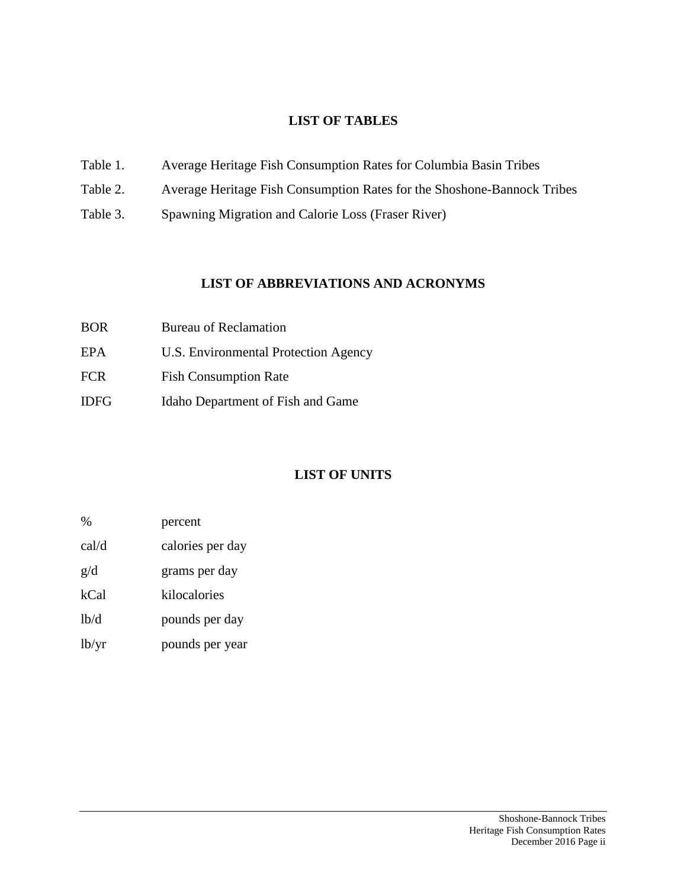### **LIST OF TABLES**

- Table 1. Average Heritage Fish Consumption Rates for Columbia Basin Tribes
- Table 2. Average Heritage Fish Consumption Rates for the Shoshone-Bannock Tribes
- Table 3. Spawning Migration and Calorie Loss (Fraser River)

### **LIST OF ABBREVIATIONS AND ACRONYMS**

| <b>BOR</b>  | <b>Bureau of Reclamation</b>         |
|-------------|--------------------------------------|
| EPA.        | U.S. Environmental Protection Agency |
| <b>FCR</b>  | <b>Fish Consumption Rate</b>         |
| <b>IDFG</b> | Idaho Department of Fish and Game    |

# **LIST OF UNITS**

| $\%$              | percent          |
|-------------------|------------------|
| cal/d             | calories per day |
| g/d               | grams per day    |
| kCal              | kilocalories     |
| 1 <sub>b</sub> /d | pounds per day   |

lb/yr pounds per year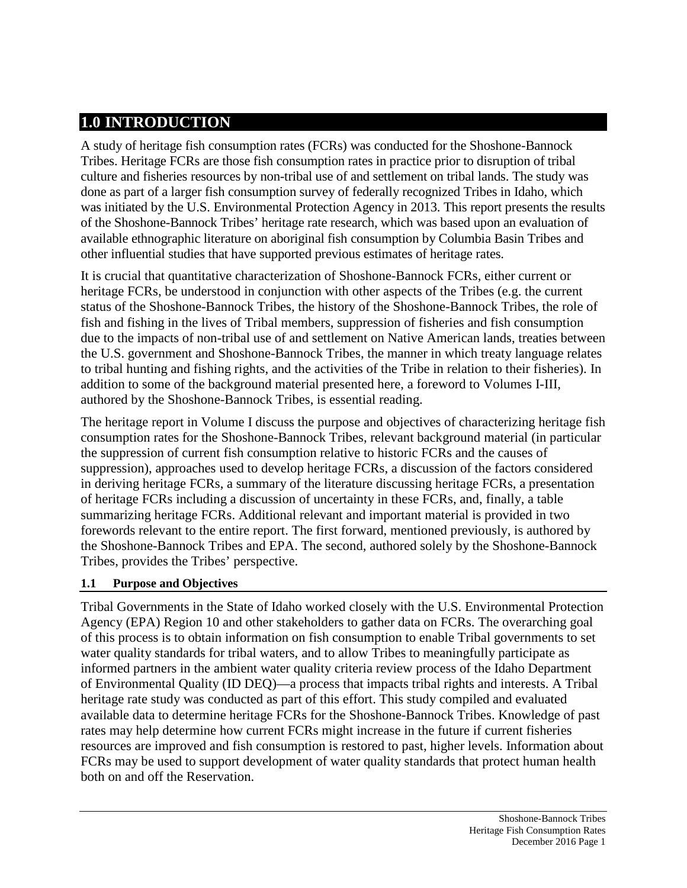# **1.0 INTRODUCTION**

A study of heritage fish consumption rates (FCRs) was conducted for the Shoshone-Bannock Tribes. Heritage FCRs are those fish consumption rates in practice prior to disruption of tribal culture and fisheries resources by non-tribal use of and settlement on tribal lands. The study was done as part of a larger fish consumption survey of federally recognized Tribes in Idaho, which was initiated by the U.S. Environmental Protection Agency in 2013. This report presents the results of the Shoshone-Bannock Tribes' heritage rate research, which was based upon an evaluation of available ethnographic literature on aboriginal fish consumption by Columbia Basin Tribes and other influential studies that have supported previous estimates of heritage rates.

It is crucial that quantitative characterization of Shoshone-Bannock FCRs, either current or heritage FCRs, be understood in conjunction with other aspects of the Tribes (e.g. the current status of the Shoshone-Bannock Tribes, the history of the Shoshone-Bannock Tribes, the role of fish and fishing in the lives of Tribal members, suppression of fisheries and fish consumption due to the impacts of non-tribal use of and settlement on Native American lands, treaties between the U.S. government and Shoshone-Bannock Tribes, the manner in which treaty language relates to tribal hunting and fishing rights, and the activities of the Tribe in relation to their fisheries). In addition to some of the background material presented here, a foreword to Volumes I-III, authored by the Shoshone-Bannock Tribes, is essential reading.

The heritage report in Volume I discuss the purpose and objectives of characterizing heritage fish consumption rates for the Shoshone-Bannock Tribes, relevant background material (in particular the suppression of current fish consumption relative to historic FCRs and the causes of suppression), approaches used to develop heritage FCRs, a discussion of the factors considered in deriving heritage FCRs, a summary of the literature discussing heritage FCRs, a presentation of heritage FCRs including a discussion of uncertainty in these FCRs, and, finally, a table summarizing heritage FCRs. Additional relevant and important material is provided in two forewords relevant to the entire report. The first forward, mentioned previously, is authored by the Shoshone-Bannock Tribes and EPA. The second, authored solely by the Shoshone-Bannock Tribes, provides the Tribes' perspective.

### **1.1 Purpose and Objectives**

Tribal Governments in the State of Idaho worked closely with the U.S. Environmental Protection Agency (EPA) Region 10 and other stakeholders to gather data on FCRs. The overarching goal of this process is to obtain information on fish consumption to enable Tribal governments to set water quality standards for tribal waters, and to allow Tribes to meaningfully participate as informed partners in the ambient water quality criteria review process of the Idaho Department of Environmental Quality (ID DEQ)—a process that impacts tribal rights and interests. A Tribal heritage rate study was conducted as part of this effort. This study compiled and evaluated available data to determine heritage FCRs for the Shoshone-Bannock Tribes. Knowledge of past rates may help determine how current FCRs might increase in the future if current fisheries resources are improved and fish consumption is restored to past, higher levels. Information about FCRs may be used to support development of water quality standards that protect human health both on and off the Reservation.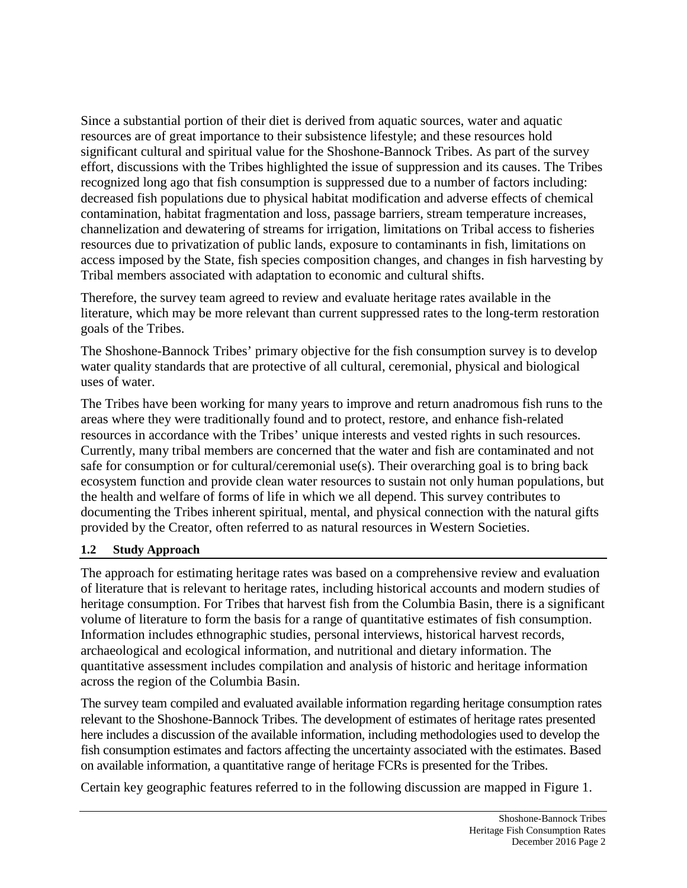Since a substantial portion of their diet is derived from aquatic sources, water and aquatic resources are of great importance to their subsistence lifestyle; and these resources hold significant cultural and spiritual value for the Shoshone-Bannock Tribes. As part of the survey effort, discussions with the Tribes highlighted the issue of suppression and its causes. The Tribes recognized long ago that fish consumption is suppressed due to a number of factors including: decreased fish populations due to physical habitat modification and adverse effects of chemical contamination, habitat fragmentation and loss, passage barriers, stream temperature increases, channelization and dewatering of streams for irrigation, limitations on Tribal access to fisheries resources due to privatization of public lands, exposure to contaminants in fish, limitations on access imposed by the State, fish species composition changes, and changes in fish harvesting by Tribal members associated with adaptation to economic and cultural shifts.

Therefore, the survey team agreed to review and evaluate heritage rates available in the literature, which may be more relevant than current suppressed rates to the long-term restoration goals of the Tribes.

The Shoshone-Bannock Tribes' primary objective for the fish consumption survey is to develop water quality standards that are protective of all cultural, ceremonial, physical and biological uses of water.

The Tribes have been working for many years to improve and return anadromous fish runs to the areas where they were traditionally found and to protect, restore, and enhance fish-related resources in accordance with the Tribes' unique interests and vested rights in such resources. Currently, many tribal members are concerned that the water and fish are contaminated and not safe for consumption or for cultural/ceremonial use(s). Their overarching goal is to bring back ecosystem function and provide clean water resources to sustain not only human populations, but the health and welfare of forms of life in which we all depend. This survey contributes to documenting the Tribes inherent spiritual, mental, and physical connection with the natural gifts provided by the Creator, often referred to as natural resources in Western Societies.

#### **1.2 Study Approach**

The approach for estimating heritage rates was based on a comprehensive review and evaluation of literature that is relevant to heritage rates, including historical accounts and modern studies of heritage consumption. For Tribes that harvest fish from the Columbia Basin, there is a significant volume of literature to form the basis for a range of quantitative estimates of fish consumption. Information includes ethnographic studies, personal interviews, historical harvest records, archaeological and ecological information, and nutritional and dietary information. The quantitative assessment includes compilation and analysis of historic and heritage information across the region of the Columbia Basin.

The survey team compiled and evaluated available information regarding heritage consumption rates relevant to the Shoshone-Bannock Tribes. The development of estimates of heritage rates presented here includes a discussion of the available information, including methodologies used to develop the fish consumption estimates and factors affecting the uncertainty associated with the estimates. Based on available information, a quantitative range of heritage FCRs is presented for the Tribes.

Certain key geographic features referred to in the following discussion are mapped in Figure 1.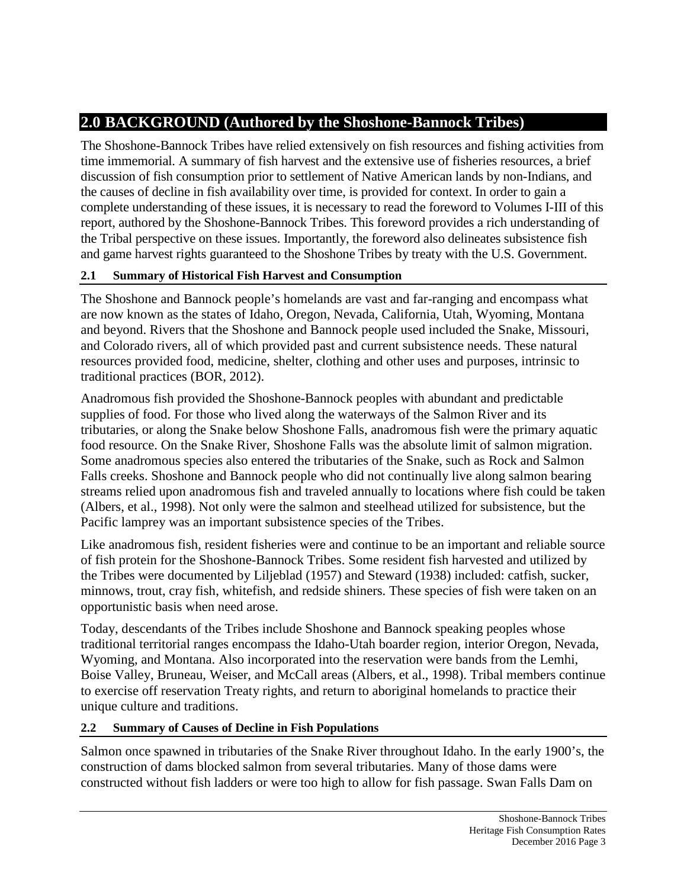# **2.0 BACKGROUND (Authored by the Shoshone-Bannock Tribes)**

The Shoshone-Bannock Tribes have relied extensively on fish resources and fishing activities from time immemorial. A summary of fish harvest and the extensive use of fisheries resources, a brief discussion of fish consumption prior to settlement of Native American lands by non-Indians, and the causes of decline in fish availability over time, is provided for context. In order to gain a complete understanding of these issues, it is necessary to read the foreword to Volumes I-III of this report, authored by the Shoshone-Bannock Tribes. This foreword provides a rich understanding of the Tribal perspective on these issues. Importantly, the foreword also delineates subsistence fish and game harvest rights guaranteed to the Shoshone Tribes by treaty with the U.S. Government.

## **2.1 Summary of Historical Fish Harvest and Consumption**

The Shoshone and Bannock people's homelands are vast and far-ranging and encompass what are now known as the states of Idaho, Oregon, Nevada, California, Utah, Wyoming, Montana and beyond. Rivers that the Shoshone and Bannock people used included the Snake, Missouri, and Colorado rivers, all of which provided past and current subsistence needs. These natural resources provided food, medicine, shelter, clothing and other uses and purposes, intrinsic to traditional practices (BOR, 2012).

Anadromous fish provided the Shoshone-Bannock peoples with abundant and predictable supplies of food. For those who lived along the waterways of the Salmon River and its tributaries, or along the Snake below Shoshone Falls, anadromous fish were the primary aquatic food resource. On the Snake River, Shoshone Falls was the absolute limit of salmon migration. Some anadromous species also entered the tributaries of the Snake, such as Rock and Salmon Falls creeks. Shoshone and Bannock people who did not continually live along salmon bearing streams relied upon anadromous fish and traveled annually to locations where fish could be taken (Albers, et al., 1998). Not only were the salmon and steelhead utilized for subsistence, but the Pacific lamprey was an important subsistence species of the Tribes.

Like anadromous fish, resident fisheries were and continue to be an important and reliable source of fish protein for the Shoshone-Bannock Tribes. Some resident fish harvested and utilized by the Tribes were documented by Liljeblad (1957) and Steward (1938) included: catfish, sucker, minnows, trout, cray fish, whitefish, and redside shiners. These species of fish were taken on an opportunistic basis when need arose.

Today, descendants of the Tribes include Shoshone and Bannock speaking peoples whose traditional territorial ranges encompass the Idaho-Utah boarder region, interior Oregon, Nevada, Wyoming, and Montana. Also incorporated into the reservation were bands from the Lemhi, Boise Valley, Bruneau, Weiser, and McCall areas (Albers, et al., 1998). Tribal members continue to exercise off reservation Treaty rights, and return to aboriginal homelands to practice their unique culture and traditions.

### **2.2 Summary of Causes of Decline in Fish Populations**

Salmon once spawned in tributaries of the Snake River throughout Idaho. In the early 1900's, the construction of dams blocked salmon from several tributaries. Many of those dams were constructed without fish ladders or were too high to allow for fish passage. Swan Falls Dam on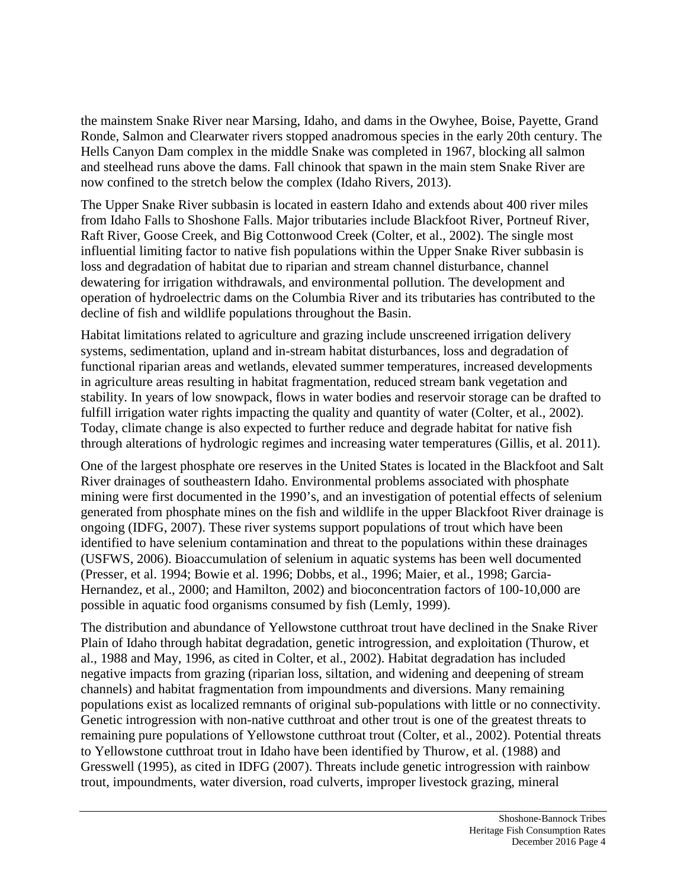the mainstem Snake River near Marsing, Idaho, and dams in the Owyhee, Boise, Payette, Grand Ronde, Salmon and Clearwater rivers stopped anadromous species in the early 20th century. The Hells Canyon Dam complex in the middle Snake was completed in 1967, blocking all salmon and steelhead runs above the dams. Fall chinook that spawn in the main stem Snake River are now confined to the stretch below the complex (Idaho Rivers, 2013).

The Upper Snake River subbasin is located in eastern Idaho and extends about 400 river miles from Idaho Falls to Shoshone Falls. Major tributaries include Blackfoot River, Portneuf River, Raft River, Goose Creek, and Big Cottonwood Creek (Colter, et al., 2002). The single most influential limiting factor to native fish populations within the Upper Snake River subbasin is loss and degradation of habitat due to riparian and stream channel disturbance, channel dewatering for irrigation withdrawals, and environmental pollution. The development and operation of hydroelectric dams on the Columbia River and its tributaries has contributed to the decline of fish and wildlife populations throughout the Basin.

Habitat limitations related to agriculture and grazing include unscreened irrigation delivery systems, sedimentation, upland and in-stream habitat disturbances, loss and degradation of functional riparian areas and wetlands, elevated summer temperatures, increased developments in agriculture areas resulting in habitat fragmentation, reduced stream bank vegetation and stability. In years of low snowpack, flows in water bodies and reservoir storage can be drafted to fulfill irrigation water rights impacting the quality and quantity of water (Colter, et al., 2002). Today, climate change is also expected to further reduce and degrade habitat for native fish through alterations of hydrologic regimes and increasing water temperatures (Gillis, et al. 2011).

One of the largest phosphate ore reserves in the United States is located in the Blackfoot and Salt River drainages of southeastern Idaho. Environmental problems associated with phosphate mining were first documented in the 1990's, and an investigation of potential effects of selenium generated from phosphate mines on the fish and wildlife in the upper Blackfoot River drainage is ongoing (IDFG, 2007). These river systems support populations of trout which have been identified to have selenium contamination and threat to the populations within these drainages (USFWS, 2006). Bioaccumulation of selenium in aquatic systems has been well documented (Presser, et al. 1994; Bowie et al. 1996; Dobbs, et al., 1996; Maier, et al., 1998; Garcia-Hernandez, et al., 2000; and Hamilton, 2002) and bioconcentration factors of 100-10,000 are possible in aquatic food organisms consumed by fish (Lemly, 1999).

The distribution and abundance of Yellowstone cutthroat trout have declined in the Snake River Plain of Idaho through habitat degradation, genetic introgression, and exploitation (Thurow, et al., 1988 and May, 1996, as cited in Colter, et al., 2002). Habitat degradation has included negative impacts from grazing (riparian loss, siltation, and widening and deepening of stream channels) and habitat fragmentation from impoundments and diversions. Many remaining populations exist as localized remnants of original sub-populations with little or no connectivity. Genetic introgression with non-native cutthroat and other trout is one of the greatest threats to remaining pure populations of Yellowstone cutthroat trout (Colter, et al., 2002). Potential threats to Yellowstone cutthroat trout in Idaho have been identified by Thurow, et al. (1988) and Gresswell (1995), as cited in IDFG (2007). Threats include genetic introgression with rainbow trout, impoundments, water diversion, road culverts, improper livestock grazing, mineral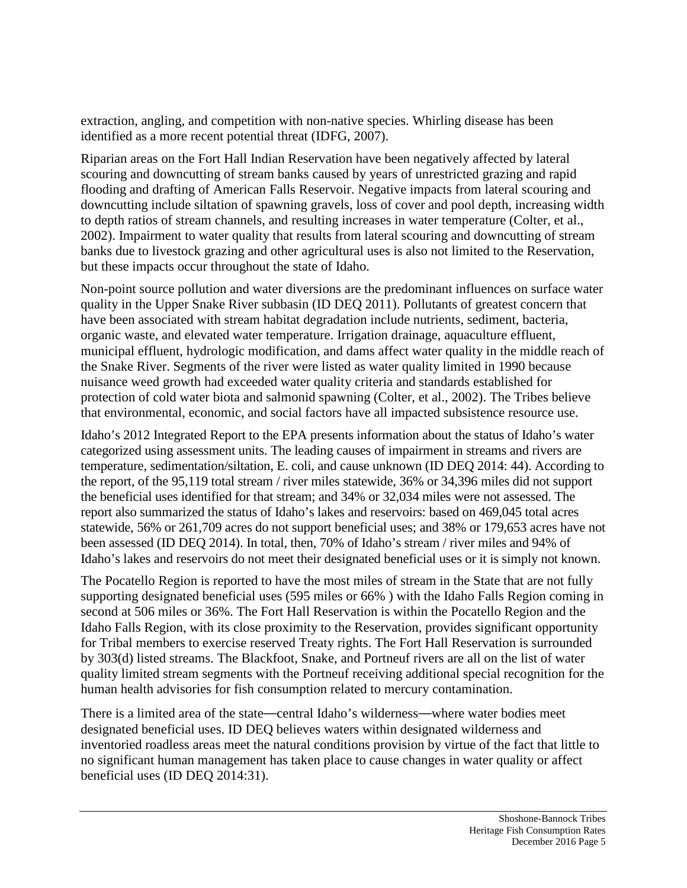extraction, angling, and competition with non-native species. Whirling disease has been identified as a more recent potential threat (IDFG, 2007).

Riparian areas on the Fort Hall Indian Reservation have been negatively affected by lateral scouring and downcutting of stream banks caused by years of unrestricted grazing and rapid flooding and drafting of American Falls Reservoir. Negative impacts from lateral scouring and downcutting include siltation of spawning gravels, loss of cover and pool depth, increasing width to depth ratios of stream channels, and resulting increases in water temperature (Colter, et al., 2002). Impairment to water quality that results from lateral scouring and downcutting of stream banks due to livestock grazing and other agricultural uses is also not limited to the Reservation, but these impacts occur throughout the state of Idaho.

Non-point source pollution and water diversions are the predominant influences on surface water quality in the Upper Snake River subbasin (ID DEQ 2011). Pollutants of greatest concern that have been associated with stream habitat degradation include nutrients, sediment, bacteria, organic waste, and elevated water temperature. Irrigation drainage, aquaculture effluent, municipal effluent, hydrologic modification, and dams affect water quality in the middle reach of the Snake River. Segments of the river were listed as water quality limited in 1990 because nuisance weed growth had exceeded water quality criteria and standards established for protection of cold water biota and salmonid spawning (Colter, et al., 2002). The Tribes believe that environmental, economic, and social factors have all impacted subsistence resource use.

Idaho's 2012 Integrated Report to the EPA presents information about the status of Idaho's water categorized using assessment units. The leading causes of impairment in streams and rivers are temperature, sedimentation/siltation, E. coli, and cause unknown (ID DEQ 2014: 44). According to the report, of the 95,119 total stream / river miles statewide, 36% or 34,396 miles did not support the beneficial uses identified for that stream; and 34% or 32,034 miles were not assessed. The report also summarized the status of Idaho's lakes and reservoirs: based on 469,045 total acres statewide, 56% or 261,709 acres do not support beneficial uses; and 38% or 179,653 acres have not been assessed (ID DEQ 2014). In total, then, 70% of Idaho's stream / river miles and 94% of Idaho's lakes and reservoirs do not meet their designated beneficial uses or it is simply not known.

The Pocatello Region is reported to have the most miles of stream in the State that are not fully supporting designated beneficial uses (595 miles or 66% ) with the Idaho Falls Region coming in second at 506 miles or 36%. The Fort Hall Reservation is within the Pocatello Region and the Idaho Falls Region, with its close proximity to the Reservation, provides significant opportunity for Tribal members to exercise reserved Treaty rights. The Fort Hall Reservation is surrounded by 303(d) listed streams. The Blackfoot, Snake, and Portneuf rivers are all on the list of water quality limited stream segments with the Portneuf receiving additional special recognition for the human health advisories for fish consumption related to mercury contamination.

There is a limited area of the state—central Idaho's wilderness—where water bodies meet designated beneficial uses. ID DEQ believes waters within designated wilderness and inventoried roadless areas meet the natural conditions provision by virtue of the fact that little to no significant human management has taken place to cause changes in water quality or affect beneficial uses (ID DEQ 2014:31).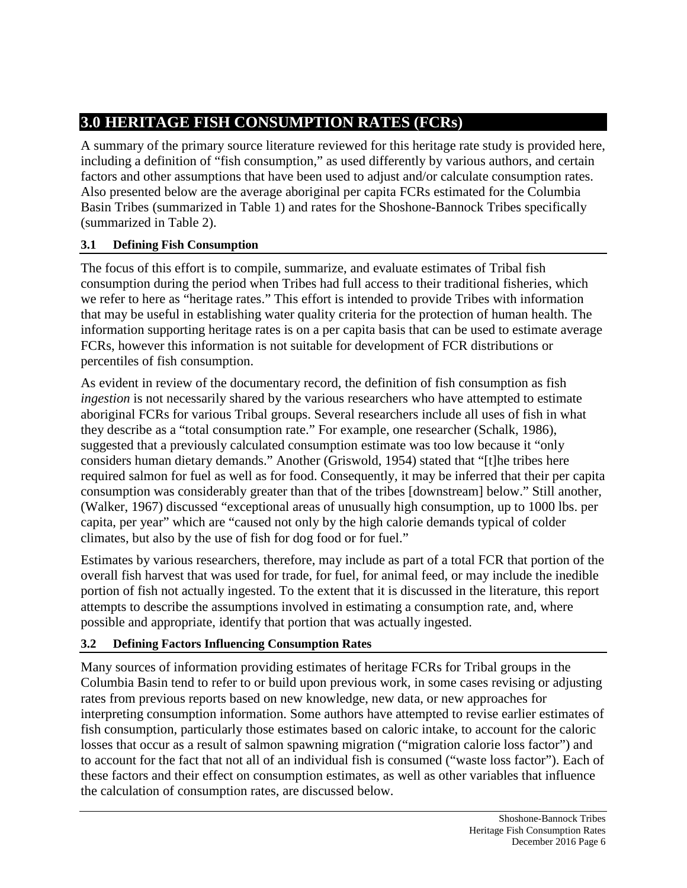# **3.0 HERITAGE FISH CONSUMPTION RATES (FCRs)**

A summary of the primary source literature reviewed for this heritage rate study is provided here, including a definition of "fish consumption," as used differently by various authors, and certain factors and other assumptions that have been used to adjust and/or calculate consumption rates. Also presented below are the average aboriginal per capita FCRs estimated for the Columbia Basin Tribes (summarized in Table 1) and rates for the Shoshone-Bannock Tribes specifically (summarized in Table 2).

## **3.1 Defining Fish Consumption**

The focus of this effort is to compile, summarize, and evaluate estimates of Tribal fish consumption during the period when Tribes had full access to their traditional fisheries, which we refer to here as "heritage rates." This effort is intended to provide Tribes with information that may be useful in establishing water quality criteria for the protection of human health. The information supporting heritage rates is on a per capita basis that can be used to estimate average FCRs, however this information is not suitable for development of FCR distributions or percentiles of fish consumption.

As evident in review of the documentary record, the definition of fish consumption as fish *ingestion* is not necessarily shared by the various researchers who have attempted to estimate aboriginal FCRs for various Tribal groups. Several researchers include all uses of fish in what they describe as a "total consumption rate." For example, one researcher (Schalk, 1986), suggested that a previously calculated consumption estimate was too low because it "only considers human dietary demands." Another (Griswold, 1954) stated that "[t]he tribes here required salmon for fuel as well as for food. Consequently, it may be inferred that their per capita consumption was considerably greater than that of the tribes [downstream] below." Still another, (Walker, 1967) discussed "exceptional areas of unusually high consumption, up to 1000 lbs. per capita, per year" which are "caused not only by the high calorie demands typical of colder climates, but also by the use of fish for dog food or for fuel."

Estimates by various researchers, therefore, may include as part of a total FCR that portion of the overall fish harvest that was used for trade, for fuel, for animal feed, or may include the inedible portion of fish not actually ingested. To the extent that it is discussed in the literature, this report attempts to describe the assumptions involved in estimating a consumption rate, and, where possible and appropriate, identify that portion that was actually ingested.

# **3.2 Defining Factors Influencing Consumption Rates**

Many sources of information providing estimates of heritage FCRs for Tribal groups in the Columbia Basin tend to refer to or build upon previous work, in some cases revising or adjusting rates from previous reports based on new knowledge, new data, or new approaches for interpreting consumption information. Some authors have attempted to revise earlier estimates of fish consumption, particularly those estimates based on caloric intake, to account for the caloric losses that occur as a result of salmon spawning migration ("migration calorie loss factor") and to account for the fact that not all of an individual fish is consumed ("waste loss factor"). Each of these factors and their effect on consumption estimates, as well as other variables that influence the calculation of consumption rates, are discussed below.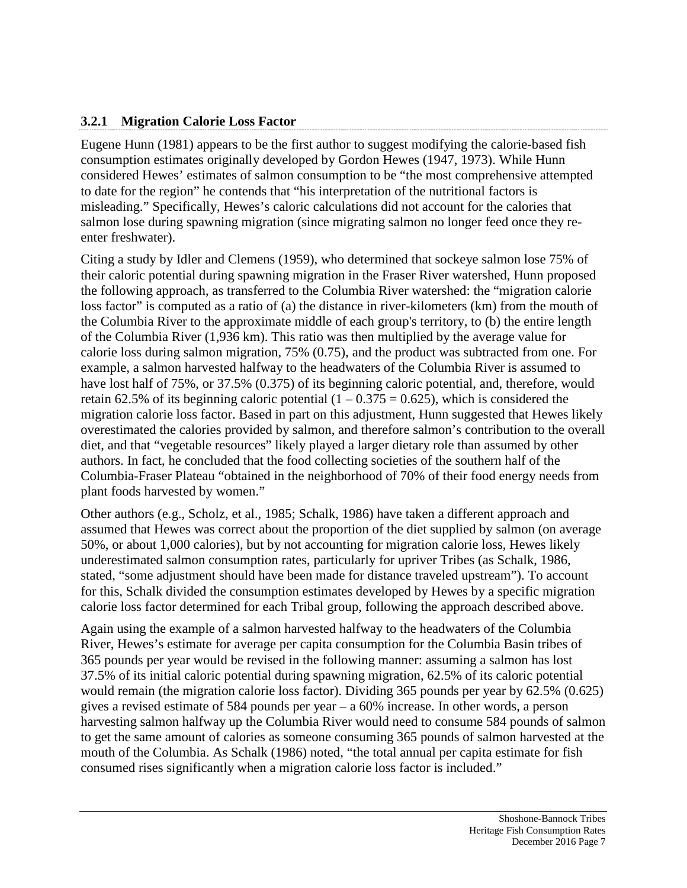### **3.2.1 Migration Calorie Loss Factor**

Eugene Hunn (1981) appears to be the first author to suggest modifying the calorie-based fish consumption estimates originally developed by Gordon Hewes (1947, 1973). While Hunn considered Hewes' estimates of salmon consumption to be "the most comprehensive attempted to date for the region" he contends that "his interpretation of the nutritional factors is misleading." Specifically, Hewes's caloric calculations did not account for the calories that salmon lose during spawning migration (since migrating salmon no longer feed once they reenter freshwater).

Citing a study by Idler and Clemens (1959), who determined that sockeye salmon lose 75% of their caloric potential during spawning migration in the Fraser River watershed, Hunn proposed the following approach, as transferred to the Columbia River watershed: the "migration calorie loss factor" is computed as a ratio of (a) the distance in river-kilometers (km) from the mouth of the Columbia River to the approximate middle of each group's territory, to (b) the entire length of the Columbia River (1,936 km). This ratio was then multiplied by the average value for calorie loss during salmon migration, 75% (0.75), and the product was subtracted from one. For example, a salmon harvested halfway to the headwaters of the Columbia River is assumed to have lost half of 75%, or 37.5% (0.375) of its beginning caloric potential, and, therefore, would retain 62.5% of its beginning caloric potential  $(1 - 0.375 = 0.625)$ , which is considered the migration calorie loss factor. Based in part on this adjustment, Hunn suggested that Hewes likely overestimated the calories provided by salmon, and therefore salmon's contribution to the overall diet, and that "vegetable resources" likely played a larger dietary role than assumed by other authors. In fact, he concluded that the food collecting societies of the southern half of the Columbia-Fraser Plateau "obtained in the neighborhood of 70% of their food energy needs from plant foods harvested by women."

Other authors (e.g., Scholz, et al., 1985; Schalk, 1986) have taken a different approach and assumed that Hewes was correct about the proportion of the diet supplied by salmon (on average 50%, or about 1,000 calories), but by not accounting for migration calorie loss, Hewes likely underestimated salmon consumption rates, particularly for upriver Tribes (as Schalk, 1986, stated, "some adjustment should have been made for distance traveled upstream"). To account for this, Schalk divided the consumption estimates developed by Hewes by a specific migration calorie loss factor determined for each Tribal group, following the approach described above.

Again using the example of a salmon harvested halfway to the headwaters of the Columbia River, Hewes's estimate for average per capita consumption for the Columbia Basin tribes of 365 pounds per year would be revised in the following manner: assuming a salmon has lost 37.5% of its initial caloric potential during spawning migration, 62.5% of its caloric potential would remain (the migration calorie loss factor). Dividing 365 pounds per year by 62.5% (0.625) gives a revised estimate of 584 pounds per year – a 60% increase. In other words, a person harvesting salmon halfway up the Columbia River would need to consume 584 pounds of salmon to get the same amount of calories as someone consuming 365 pounds of salmon harvested at the mouth of the Columbia. As Schalk (1986) noted, "the total annual per capita estimate for fish consumed rises significantly when a migration calorie loss factor is included."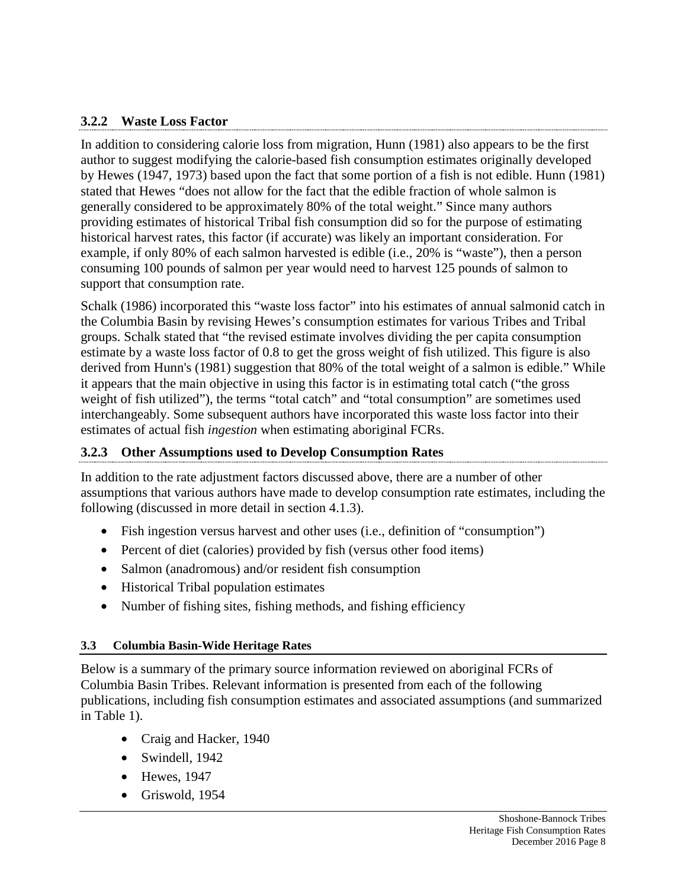### **3.2.2 Waste Loss Factor**

In addition to considering calorie loss from migration, Hunn (1981) also appears to be the first author to suggest modifying the calorie-based fish consumption estimates originally developed by Hewes (1947, 1973) based upon the fact that some portion of a fish is not edible. Hunn (1981) stated that Hewes "does not allow for the fact that the edible fraction of whole salmon is generally considered to be approximately 80% of the total weight." Since many authors providing estimates of historical Tribal fish consumption did so for the purpose of estimating historical harvest rates, this factor (if accurate) was likely an important consideration. For example, if only 80% of each salmon harvested is edible (i.e., 20% is "waste"), then a person consuming 100 pounds of salmon per year would need to harvest 125 pounds of salmon to support that consumption rate.

Schalk (1986) incorporated this "waste loss factor" into his estimates of annual salmonid catch in the Columbia Basin by revising Hewes's consumption estimates for various Tribes and Tribal groups. Schalk stated that "the revised estimate involves dividing the per capita consumption estimate by a waste loss factor of 0.8 to get the gross weight of fish utilized. This figure is also derived from Hunn's (1981) suggestion that 80% of the total weight of a salmon is edible." While it appears that the main objective in using this factor is in estimating total catch ("the gross weight of fish utilized"), the terms "total catch" and "total consumption" are sometimes used interchangeably. Some subsequent authors have incorporated this waste loss factor into their estimates of actual fish *ingestion* when estimating aboriginal FCRs.

### **3.2.3 Other Assumptions used to Develop Consumption Rates**

In addition to the rate adjustment factors discussed above, there are a number of other assumptions that various authors have made to develop consumption rate estimates, including the following (discussed in more detail in section 4.1.3).

- Fish ingestion versus harvest and other uses (i.e., definition of "consumption")
- Percent of diet (calories) provided by fish (versus other food items)
- Salmon (anadromous) and/or resident fish consumption
- Historical Tribal population estimates
- Number of fishing sites, fishing methods, and fishing efficiency

#### **3.3 Columbia Basin-Wide Heritage Rates**

Below is a summary of the primary source information reviewed on aboriginal FCRs of Columbia Basin Tribes. Relevant information is presented from each of the following publications, including fish consumption estimates and associated assumptions (and summarized in Table 1).

- Craig and Hacker, 1940
- Swindell, 1942
- Hewes, 1947
- Griswold, 1954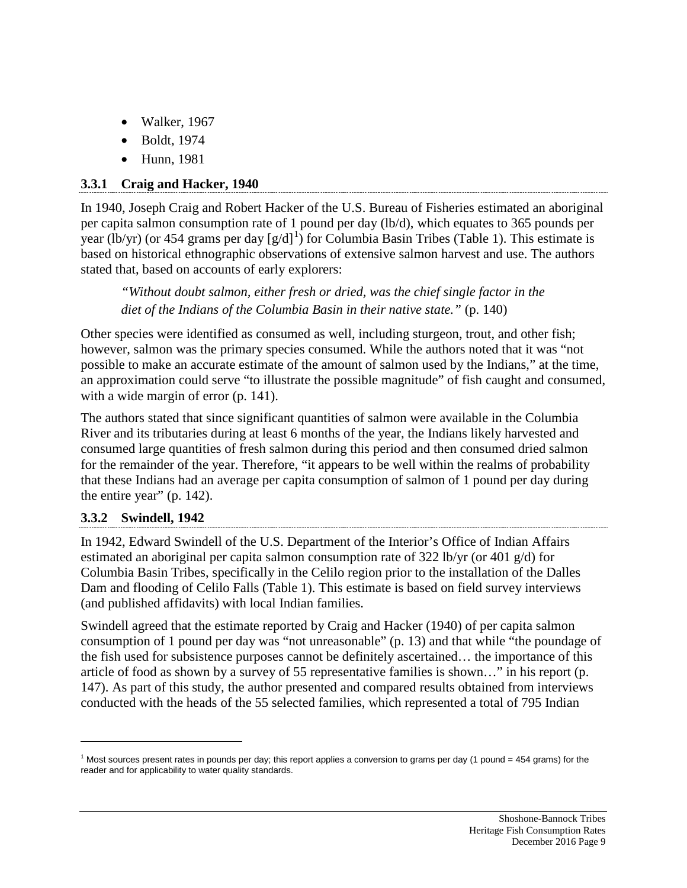- Walker, 1967
- Boldt, 1974
- Hunn, 1981

# **3.3.1 Craig and Hacker, 1940**

In 1940, Joseph Craig and Robert Hacker of the U.S. Bureau of Fisheries estimated an aboriginal per capita salmon consumption rate of 1 pound per day (lb/d), which equates to 365 pounds per year (lb/yr) (or 454 grams per day  $[g/d]^1$  $[g/d]^1$ ) for Columbia Basin Tribes (Table 1). This estimate is based on historical ethnographic observations of extensive salmon harvest and use. The authors stated that, based on accounts of early explorers:

*"Without doubt salmon, either fresh or dried, was the chief single factor in the diet of the Indians of the Columbia Basin in their native state."* (p. 140)

Other species were identified as consumed as well, including sturgeon, trout, and other fish; however, salmon was the primary species consumed. While the authors noted that it was "not possible to make an accurate estimate of the amount of salmon used by the Indians," at the time, an approximation could serve "to illustrate the possible magnitude" of fish caught and consumed, with a wide margin of error (p. 141).

The authors stated that since significant quantities of salmon were available in the Columbia River and its tributaries during at least 6 months of the year, the Indians likely harvested and consumed large quantities of fresh salmon during this period and then consumed dried salmon for the remainder of the year. Therefore, "it appears to be well within the realms of probability that these Indians had an average per capita consumption of salmon of 1 pound per day during the entire year"  $(p. 142)$ .

### **3.3.2 Swindell, 1942**

 $\overline{a}$ 

In 1942, Edward Swindell of the U.S. Department of the Interior's Office of Indian Affairs estimated an aboriginal per capita salmon consumption rate of 322 lb/yr (or 401 g/d) for Columbia Basin Tribes, specifically in the Celilo region prior to the installation of the Dalles Dam and flooding of Celilo Falls (Table 1). This estimate is based on field survey interviews (and published affidavits) with local Indian families.

Swindell agreed that the estimate reported by Craig and Hacker (1940) of per capita salmon consumption of 1 pound per day was "not unreasonable" (p. 13) and that while "the poundage of the fish used for subsistence purposes cannot be definitely ascertained… the importance of this article of food as shown by a survey of 55 representative families is shown…" in his report (p. 147). As part of this study, the author presented and compared results obtained from interviews conducted with the heads of the 55 selected families, which represented a total of 795 Indian

<span id="page-11-0"></span> $1$  Most sources present rates in pounds per day; this report applies a conversion to grams per day (1 pound = 454 grams) for the reader and for applicability to water quality standards.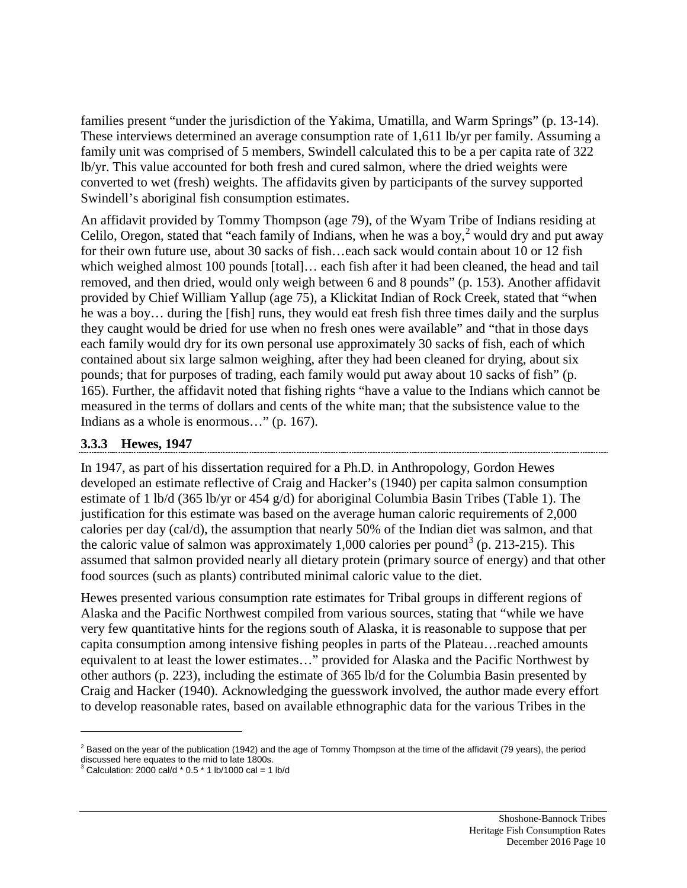families present "under the jurisdiction of the Yakima, Umatilla, and Warm Springs" (p. 13-14). These interviews determined an average consumption rate of 1,611 lb/yr per family. Assuming a family unit was comprised of 5 members, Swindell calculated this to be a per capita rate of 322 lb/yr. This value accounted for both fresh and cured salmon, where the dried weights were converted to wet (fresh) weights. The affidavits given by participants of the survey supported Swindell's aboriginal fish consumption estimates.

An affidavit provided by Tommy Thompson (age 79), of the Wyam Tribe of Indians residing at Celilo, Oregon, stated that "each family of Indians, when he was a boy, $\frac{2}{3}$  $\frac{2}{3}$  $\frac{2}{3}$  would dry and put away for their own future use, about 30 sacks of fish…each sack would contain about 10 or 12 fish which weighed almost 100 pounds [total]... each fish after it had been cleaned, the head and tail removed, and then dried, would only weigh between 6 and 8 pounds" (p. 153). Another affidavit provided by Chief William Yallup (age 75), a Klickitat Indian of Rock Creek, stated that "when he was a boy… during the [fish] runs, they would eat fresh fish three times daily and the surplus they caught would be dried for use when no fresh ones were available" and "that in those days each family would dry for its own personal use approximately 30 sacks of fish, each of which contained about six large salmon weighing, after they had been cleaned for drying, about six pounds; that for purposes of trading, each family would put away about 10 sacks of fish" (p. 165). Further, the affidavit noted that fishing rights "have a value to the Indians which cannot be measured in the terms of dollars and cents of the white man; that the subsistence value to the Indians as a whole is enormous…" (p. 167).

### **3.3.3 Hewes, 1947**

In 1947, as part of his dissertation required for a Ph.D. in Anthropology, Gordon Hewes developed an estimate reflective of Craig and Hacker's (1940) per capita salmon consumption estimate of 1 lb/d (365 lb/yr or 454 g/d) for aboriginal Columbia Basin Tribes (Table 1). The justification for this estimate was based on the average human caloric requirements of 2,000 calories per day (cal/d), the assumption that nearly 50% of the Indian diet was salmon, and that the caloric value of salmon was approximately 1,000 calories per pound<sup>[3](#page-12-1)</sup> (p. 213-215). This assumed that salmon provided nearly all dietary protein (primary source of energy) and that other food sources (such as plants) contributed minimal caloric value to the diet.

Hewes presented various consumption rate estimates for Tribal groups in different regions of Alaska and the Pacific Northwest compiled from various sources, stating that "while we have very few quantitative hints for the regions south of Alaska, it is reasonable to suppose that per capita consumption among intensive fishing peoples in parts of the Plateau…reached amounts equivalent to at least the lower estimates…" provided for Alaska and the Pacific Northwest by other authors (p. 223), including the estimate of 365 lb/d for the Columbia Basin presented by Craig and Hacker (1940). Acknowledging the guesswork involved, the author made every effort to develop reasonable rates, based on available ethnographic data for the various Tribes in the

 $\overline{a}$ 

<span id="page-12-0"></span> $^2$  Based on the year of the publication (1942) and the age of Tommy Thompson at the time of the affidavit (79 years), the period discussed here equates to the mid to late 1800s.

<span id="page-12-1"></span> $3$  Calculation: 2000 cal/d  $*$  0.5  $*$  1 lb/1000 cal = 1 lb/d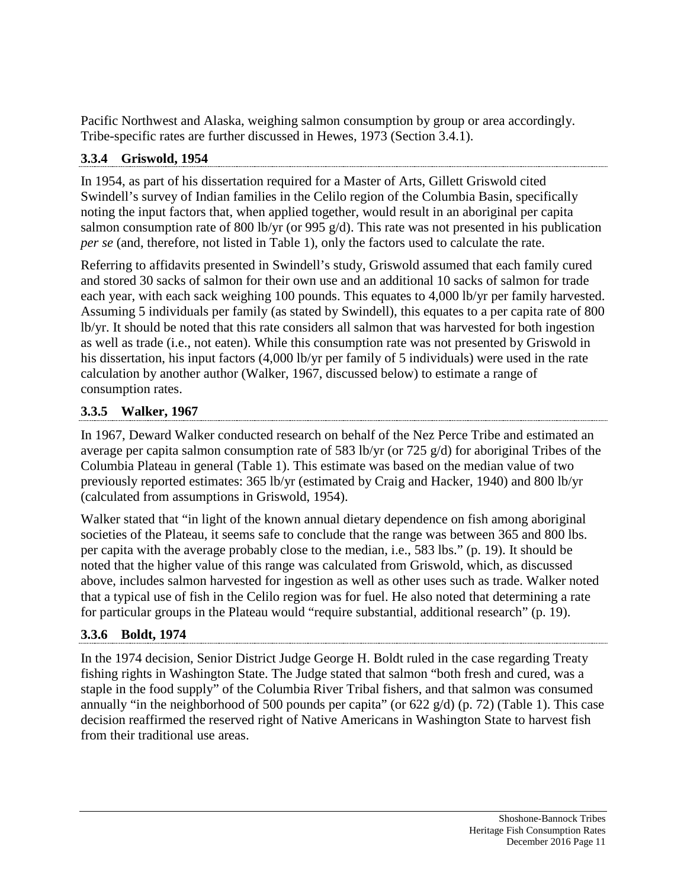Pacific Northwest and Alaska, weighing salmon consumption by group or area accordingly. Tribe-specific rates are further discussed in Hewes, 1973 (Section 3.4.1).

# **3.3.4 Griswold, 1954**

In 1954, as part of his dissertation required for a Master of Arts, Gillett Griswold cited Swindell's survey of Indian families in the Celilo region of the Columbia Basin, specifically noting the input factors that, when applied together, would result in an aboriginal per capita salmon consumption rate of 800 lb/yr (or 995 g/d). This rate was not presented in his publication *per se* (and, therefore, not listed in Table 1), only the factors used to calculate the rate.

Referring to affidavits presented in Swindell's study, Griswold assumed that each family cured and stored 30 sacks of salmon for their own use and an additional 10 sacks of salmon for trade each year, with each sack weighing 100 pounds. This equates to 4,000 lb/yr per family harvested. Assuming 5 individuals per family (as stated by Swindell), this equates to a per capita rate of 800 lb/yr. It should be noted that this rate considers all salmon that was harvested for both ingestion as well as trade (i.e., not eaten). While this consumption rate was not presented by Griswold in his dissertation, his input factors (4,000 lb/yr per family of 5 individuals) were used in the rate calculation by another author (Walker, 1967, discussed below) to estimate a range of consumption rates.

## **3.3.5 Walker, 1967**

In 1967, Deward Walker conducted research on behalf of the Nez Perce Tribe and estimated an average per capita salmon consumption rate of 583 lb/yr (or 725 g/d) for aboriginal Tribes of the Columbia Plateau in general (Table 1). This estimate was based on the median value of two previously reported estimates: 365 lb/yr (estimated by Craig and Hacker, 1940) and 800 lb/yr (calculated from assumptions in Griswold, 1954).

Walker stated that "in light of the known annual dietary dependence on fish among aboriginal societies of the Plateau, it seems safe to conclude that the range was between 365 and 800 lbs. per capita with the average probably close to the median, i.e., 583 lbs." (p. 19). It should be noted that the higher value of this range was calculated from Griswold, which, as discussed above, includes salmon harvested for ingestion as well as other uses such as trade. Walker noted that a typical use of fish in the Celilo region was for fuel. He also noted that determining a rate for particular groups in the Plateau would "require substantial, additional research" (p. 19).

# **3.3.6 Boldt, 1974**

In the 1974 decision, Senior District Judge George H. Boldt ruled in the case regarding Treaty fishing rights in Washington State. The Judge stated that salmon "both fresh and cured, was a staple in the food supply" of the Columbia River Tribal fishers, and that salmon was consumed annually "in the neighborhood of 500 pounds per capita" (or 622 g/d) (p. 72) (Table 1). This case decision reaffirmed the reserved right of Native Americans in Washington State to harvest fish from their traditional use areas.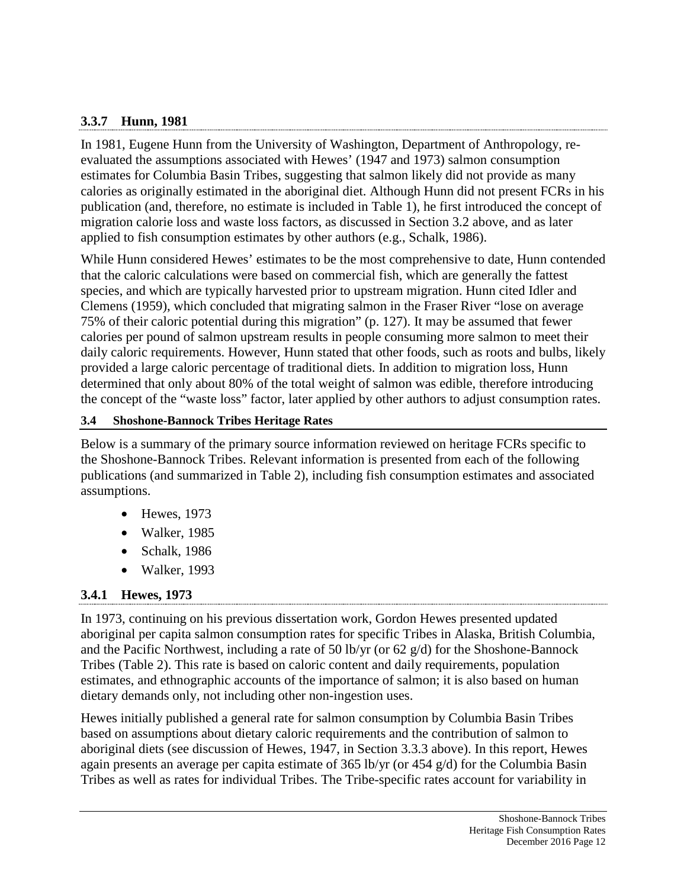### **3.3.7 Hunn, 1981**

In 1981, Eugene Hunn from the University of Washington, Department of Anthropology, reevaluated the assumptions associated with Hewes' (1947 and 1973) salmon consumption estimates for Columbia Basin Tribes, suggesting that salmon likely did not provide as many calories as originally estimated in the aboriginal diet. Although Hunn did not present FCRs in his publication (and, therefore, no estimate is included in Table 1), he first introduced the concept of migration calorie loss and waste loss factors, as discussed in Section 3.2 above, and as later applied to fish consumption estimates by other authors (e.g., Schalk, 1986).

While Hunn considered Hewes' estimates to be the most comprehensive to date, Hunn contended that the caloric calculations were based on commercial fish, which are generally the fattest species, and which are typically harvested prior to upstream migration. Hunn cited Idler and Clemens (1959), which concluded that migrating salmon in the Fraser River "lose on average 75% of their caloric potential during this migration" (p. 127). It may be assumed that fewer calories per pound of salmon upstream results in people consuming more salmon to meet their daily caloric requirements. However, Hunn stated that other foods, such as roots and bulbs, likely provided a large caloric percentage of traditional diets. In addition to migration loss, Hunn determined that only about 80% of the total weight of salmon was edible, therefore introducing the concept of the "waste loss" factor, later applied by other authors to adjust consumption rates.

#### **3.4 Shoshone-Bannock Tribes Heritage Rates**

Below is a summary of the primary source information reviewed on heritage FCRs specific to the Shoshone-Bannock Tribes. Relevant information is presented from each of the following publications (and summarized in Table 2), including fish consumption estimates and associated assumptions.

- Hewes, 1973
- Walker, 1985
- Schalk, 1986
- Walker, 1993

### **3.4.1 Hewes, 1973**

In 1973, continuing on his previous dissertation work, Gordon Hewes presented updated aboriginal per capita salmon consumption rates for specific Tribes in Alaska, British Columbia, and the Pacific Northwest, including a rate of 50 lb/yr (or 62 g/d) for the Shoshone-Bannock Tribes (Table 2). This rate is based on caloric content and daily requirements, population estimates, and ethnographic accounts of the importance of salmon; it is also based on human dietary demands only, not including other non-ingestion uses.

Hewes initially published a general rate for salmon consumption by Columbia Basin Tribes based on assumptions about dietary caloric requirements and the contribution of salmon to aboriginal diets (see discussion of Hewes, 1947, in Section 3.3.3 above). In this report, Hewes again presents an average per capita estimate of 365 lb/yr (or 454 g/d) for the Columbia Basin Tribes as well as rates for individual Tribes. The Tribe-specific rates account for variability in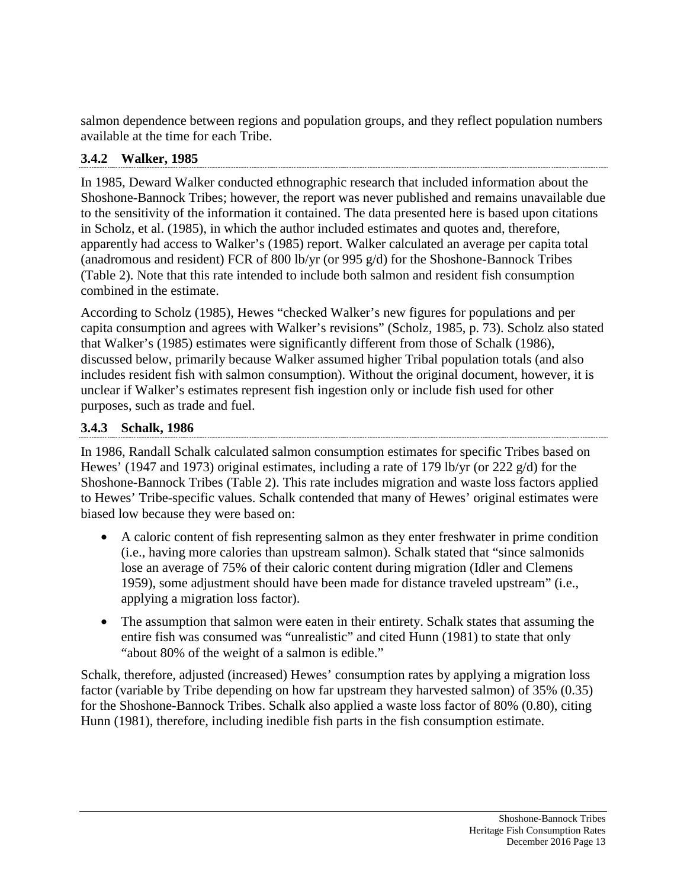salmon dependence between regions and population groups, and they reflect population numbers available at the time for each Tribe.

# **3.4.2 Walker, 1985**

In 1985, Deward Walker conducted ethnographic research that included information about the Shoshone-Bannock Tribes; however, the report was never published and remains unavailable due to the sensitivity of the information it contained. The data presented here is based upon citations in Scholz, et al. (1985), in which the author included estimates and quotes and, therefore, apparently had access to Walker's (1985) report. Walker calculated an average per capita total (anadromous and resident) FCR of 800 lb/yr (or 995 g/d) for the Shoshone-Bannock Tribes (Table 2). Note that this rate intended to include both salmon and resident fish consumption combined in the estimate.

According to Scholz (1985), Hewes "checked Walker's new figures for populations and per capita consumption and agrees with Walker's revisions" (Scholz, 1985, p. 73). Scholz also stated that Walker's (1985) estimates were significantly different from those of Schalk (1986), discussed below, primarily because Walker assumed higher Tribal population totals (and also includes resident fish with salmon consumption). Without the original document, however, it is unclear if Walker's estimates represent fish ingestion only or include fish used for other purposes, such as trade and fuel.

# **3.4.3 Schalk, 1986**

In 1986, Randall Schalk calculated salmon consumption estimates for specific Tribes based on Hewes' (1947 and 1973) original estimates, including a rate of 179 lb/yr (or 222 g/d) for the Shoshone-Bannock Tribes (Table 2). This rate includes migration and waste loss factors applied to Hewes' Tribe-specific values. Schalk contended that many of Hewes' original estimates were biased low because they were based on:

- A caloric content of fish representing salmon as they enter freshwater in prime condition (i.e., having more calories than upstream salmon). Schalk stated that "since salmonids lose an average of 75% of their caloric content during migration (Idler and Clemens 1959), some adjustment should have been made for distance traveled upstream" (i.e., applying a migration loss factor).
- The assumption that salmon were eaten in their entirety. Schalk states that assuming the entire fish was consumed was "unrealistic" and cited Hunn (1981) to state that only "about 80% of the weight of a salmon is edible."

Schalk, therefore, adjusted (increased) Hewes' consumption rates by applying a migration loss factor (variable by Tribe depending on how far upstream they harvested salmon) of 35% (0.35) for the Shoshone-Bannock Tribes. Schalk also applied a waste loss factor of 80% (0.80), citing Hunn (1981), therefore, including inedible fish parts in the fish consumption estimate.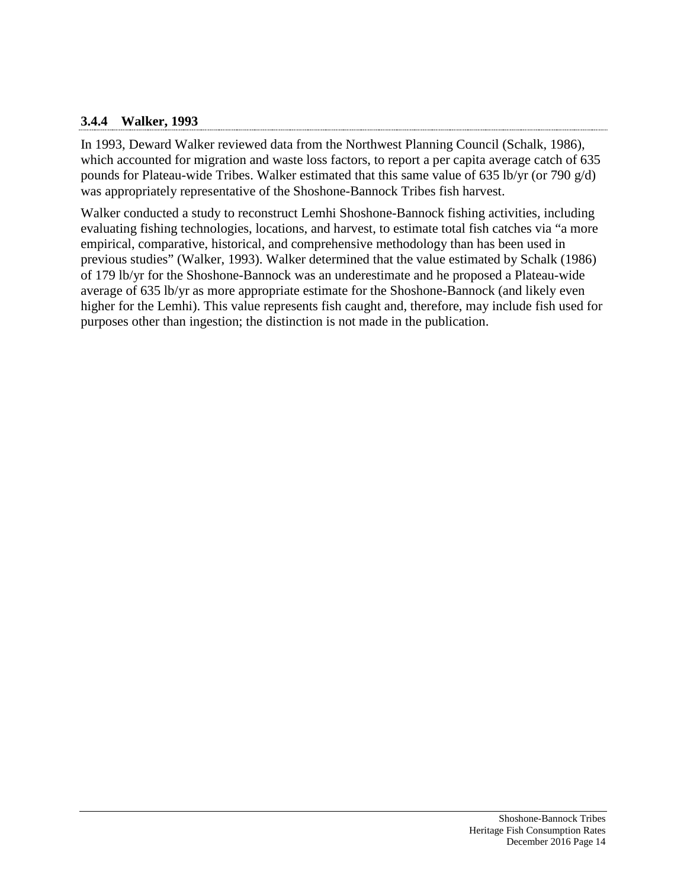#### **3.4.4 Walker, 1993**

In 1993, Deward Walker reviewed data from the Northwest Planning Council (Schalk, 1986), which accounted for migration and waste loss factors, to report a per capita average catch of 635 pounds for Plateau-wide Tribes. Walker estimated that this same value of 635 lb/yr (or 790  $g/d$ ) was appropriately representative of the Shoshone-Bannock Tribes fish harvest.

Walker conducted a study to reconstruct Lemhi Shoshone-Bannock fishing activities, including evaluating fishing technologies, locations, and harvest, to estimate total fish catches via "a more empirical, comparative, historical, and comprehensive methodology than has been used in previous studies" (Walker, 1993). Walker determined that the value estimated by Schalk (1986) of 179 lb/yr for the Shoshone-Bannock was an underestimate and he proposed a Plateau-wide average of 635 lb/yr as more appropriate estimate for the Shoshone-Bannock (and likely even higher for the Lemhi). This value represents fish caught and, therefore, may include fish used for purposes other than ingestion; the distinction is not made in the publication.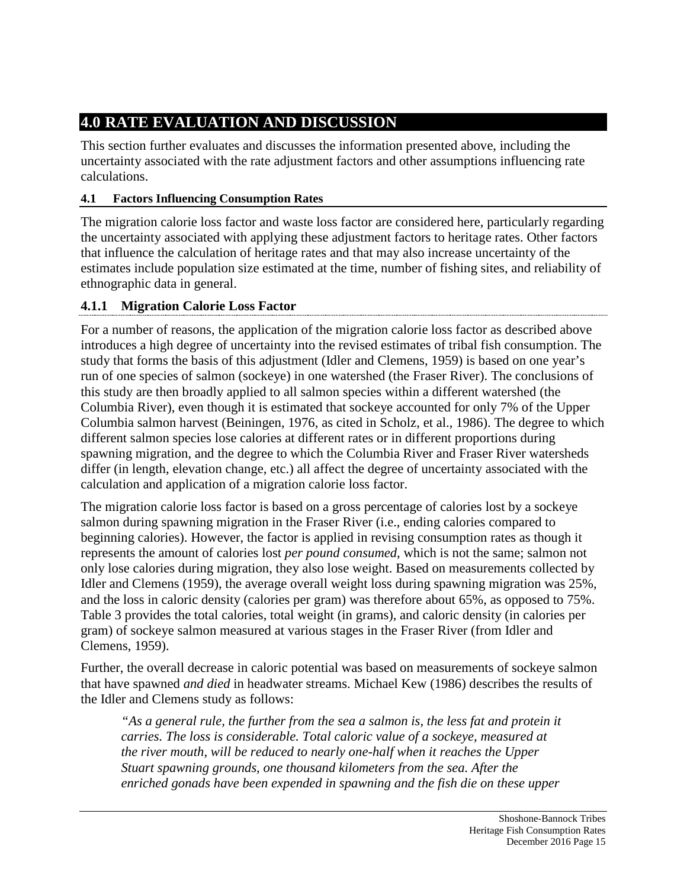# **4.0 RATE EVALUATION AND DISCUSSION**

This section further evaluates and discusses the information presented above, including the uncertainty associated with the rate adjustment factors and other assumptions influencing rate calculations.

# **4.1 Factors Influencing Consumption Rates**

The migration calorie loss factor and waste loss factor are considered here, particularly regarding the uncertainty associated with applying these adjustment factors to heritage rates. Other factors that influence the calculation of heritage rates and that may also increase uncertainty of the estimates include population size estimated at the time, number of fishing sites, and reliability of ethnographic data in general.

# **4.1.1 Migration Calorie Loss Factor**

For a number of reasons, the application of the migration calorie loss factor as described above introduces a high degree of uncertainty into the revised estimates of tribal fish consumption. The study that forms the basis of this adjustment (Idler and Clemens, 1959) is based on one year's run of one species of salmon (sockeye) in one watershed (the Fraser River). The conclusions of this study are then broadly applied to all salmon species within a different watershed (the Columbia River), even though it is estimated that sockeye accounted for only 7% of the Upper Columbia salmon harvest (Beiningen, 1976, as cited in Scholz, et al., 1986). The degree to which different salmon species lose calories at different rates or in different proportions during spawning migration, and the degree to which the Columbia River and Fraser River watersheds differ (in length, elevation change, etc.) all affect the degree of uncertainty associated with the calculation and application of a migration calorie loss factor.

The migration calorie loss factor is based on a gross percentage of calories lost by a sockeye salmon during spawning migration in the Fraser River (i.e., ending calories compared to beginning calories). However, the factor is applied in revising consumption rates as though it represents the amount of calories lost *per pound consumed*, which is not the same; salmon not only lose calories during migration, they also lose weight. Based on measurements collected by Idler and Clemens (1959), the average overall weight loss during spawning migration was 25%, and the loss in caloric density (calories per gram) was therefore about 65%, as opposed to 75%. Table 3 provides the total calories, total weight (in grams), and caloric density (in calories per gram) of sockeye salmon measured at various stages in the Fraser River (from Idler and Clemens, 1959).

Further, the overall decrease in caloric potential was based on measurements of sockeye salmon that have spawned *and died* in headwater streams. Michael Kew (1986) describes the results of the Idler and Clemens study as follows:

*"As a general rule, the further from the sea a salmon is, the less fat and protein it carries. The loss is considerable. Total caloric value of a sockeye, measured at the river mouth, will be reduced to nearly one-half when it reaches the Upper Stuart spawning grounds, one thousand kilometers from the sea. After the enriched gonads have been expended in spawning and the fish die on these upper*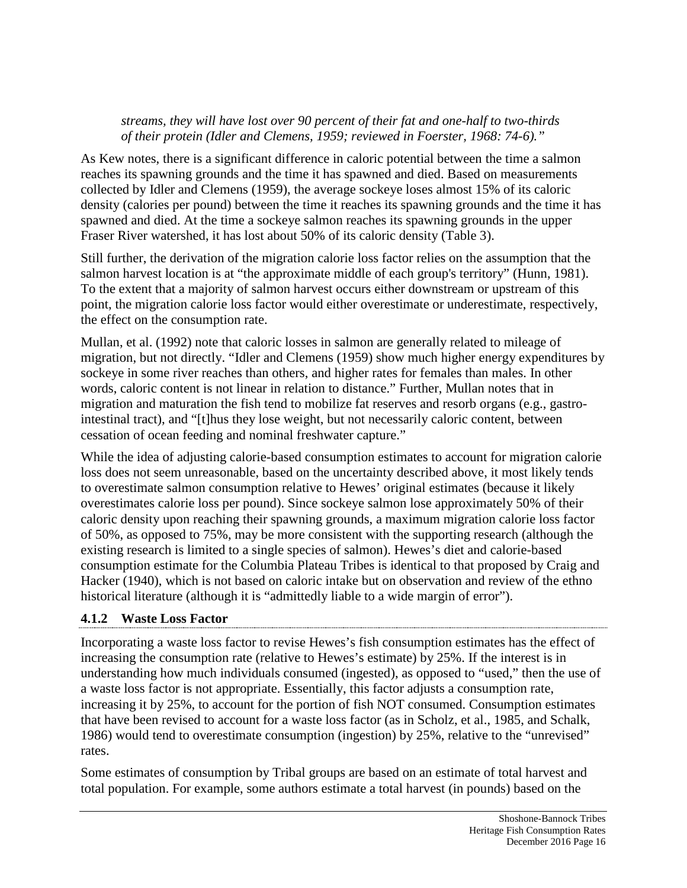#### *streams, they will have lost over 90 percent of their fat and one-half to two-thirds of their protein (Idler and Clemens, 1959; reviewed in Foerster, 1968: 74-6)."*

As Kew notes, there is a significant difference in caloric potential between the time a salmon reaches its spawning grounds and the time it has spawned and died. Based on measurements collected by Idler and Clemens (1959), the average sockeye loses almost 15% of its caloric density (calories per pound) between the time it reaches its spawning grounds and the time it has spawned and died. At the time a sockeye salmon reaches its spawning grounds in the upper Fraser River watershed, it has lost about 50% of its caloric density (Table 3).

Still further, the derivation of the migration calorie loss factor relies on the assumption that the salmon harvest location is at "the approximate middle of each group's territory" (Hunn, 1981). To the extent that a majority of salmon harvest occurs either downstream or upstream of this point, the migration calorie loss factor would either overestimate or underestimate, respectively, the effect on the consumption rate.

Mullan, et al. (1992) note that caloric losses in salmon are generally related to mileage of migration, but not directly. "Idler and Clemens (1959) show much higher energy expenditures by sockeye in some river reaches than others, and higher rates for females than males. In other words, caloric content is not linear in relation to distance." Further, Mullan notes that in migration and maturation the fish tend to mobilize fat reserves and resorb organs (e.g., gastrointestinal tract), and "[t]hus they lose weight, but not necessarily caloric content, between cessation of ocean feeding and nominal freshwater capture."

While the idea of adjusting calorie-based consumption estimates to account for migration calorie loss does not seem unreasonable, based on the uncertainty described above, it most likely tends to overestimate salmon consumption relative to Hewes' original estimates (because it likely overestimates calorie loss per pound). Since sockeye salmon lose approximately 50% of their caloric density upon reaching their spawning grounds, a maximum migration calorie loss factor of 50%, as opposed to 75%, may be more consistent with the supporting research (although the existing research is limited to a single species of salmon). Hewes's diet and calorie-based consumption estimate for the Columbia Plateau Tribes is identical to that proposed by Craig and Hacker (1940), which is not based on caloric intake but on observation and review of the ethno historical literature (although it is "admittedly liable to a wide margin of error").

### **4.1.2 Waste Loss Factor**

Incorporating a waste loss factor to revise Hewes's fish consumption estimates has the effect of increasing the consumption rate (relative to Hewes's estimate) by 25%. If the interest is in understanding how much individuals consumed (ingested), as opposed to "used," then the use of a waste loss factor is not appropriate. Essentially, this factor adjusts a consumption rate, increasing it by 25%, to account for the portion of fish NOT consumed. Consumption estimates that have been revised to account for a waste loss factor (as in Scholz, et al., 1985, and Schalk, 1986) would tend to overestimate consumption (ingestion) by 25%, relative to the "unrevised" rates.

Some estimates of consumption by Tribal groups are based on an estimate of total harvest and total population. For example, some authors estimate a total harvest (in pounds) based on the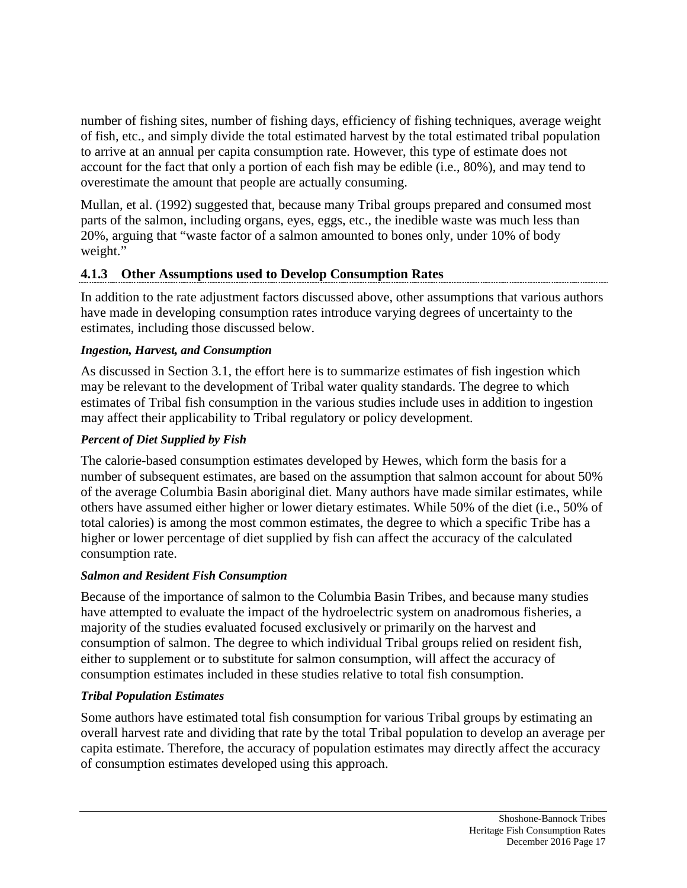number of fishing sites, number of fishing days, efficiency of fishing techniques, average weight of fish, etc., and simply divide the total estimated harvest by the total estimated tribal population to arrive at an annual per capita consumption rate. However, this type of estimate does not account for the fact that only a portion of each fish may be edible (i.e., 80%), and may tend to overestimate the amount that people are actually consuming.

Mullan, et al. (1992) suggested that, because many Tribal groups prepared and consumed most parts of the salmon, including organs, eyes, eggs, etc., the inedible waste was much less than 20%, arguing that "waste factor of a salmon amounted to bones only, under 10% of body weight."

### **4.1.3 Other Assumptions used to Develop Consumption Rates**

In addition to the rate adjustment factors discussed above, other assumptions that various authors have made in developing consumption rates introduce varying degrees of uncertainty to the estimates, including those discussed below.

#### *Ingestion, Harvest, and Consumption*

As discussed in Section 3.1, the effort here is to summarize estimates of fish ingestion which may be relevant to the development of Tribal water quality standards. The degree to which estimates of Tribal fish consumption in the various studies include uses in addition to ingestion may affect their applicability to Tribal regulatory or policy development.

#### *Percent of Diet Supplied by Fish*

The calorie-based consumption estimates developed by Hewes, which form the basis for a number of subsequent estimates, are based on the assumption that salmon account for about 50% of the average Columbia Basin aboriginal diet. Many authors have made similar estimates, while others have assumed either higher or lower dietary estimates. While 50% of the diet (i.e., 50% of total calories) is among the most common estimates, the degree to which a specific Tribe has a higher or lower percentage of diet supplied by fish can affect the accuracy of the calculated consumption rate.

#### *Salmon and Resident Fish Consumption*

Because of the importance of salmon to the Columbia Basin Tribes, and because many studies have attempted to evaluate the impact of the hydroelectric system on anadromous fisheries, a majority of the studies evaluated focused exclusively or primarily on the harvest and consumption of salmon. The degree to which individual Tribal groups relied on resident fish, either to supplement or to substitute for salmon consumption, will affect the accuracy of consumption estimates included in these studies relative to total fish consumption.

#### *Tribal Population Estimates*

Some authors have estimated total fish consumption for various Tribal groups by estimating an overall harvest rate and dividing that rate by the total Tribal population to develop an average per capita estimate. Therefore, the accuracy of population estimates may directly affect the accuracy of consumption estimates developed using this approach.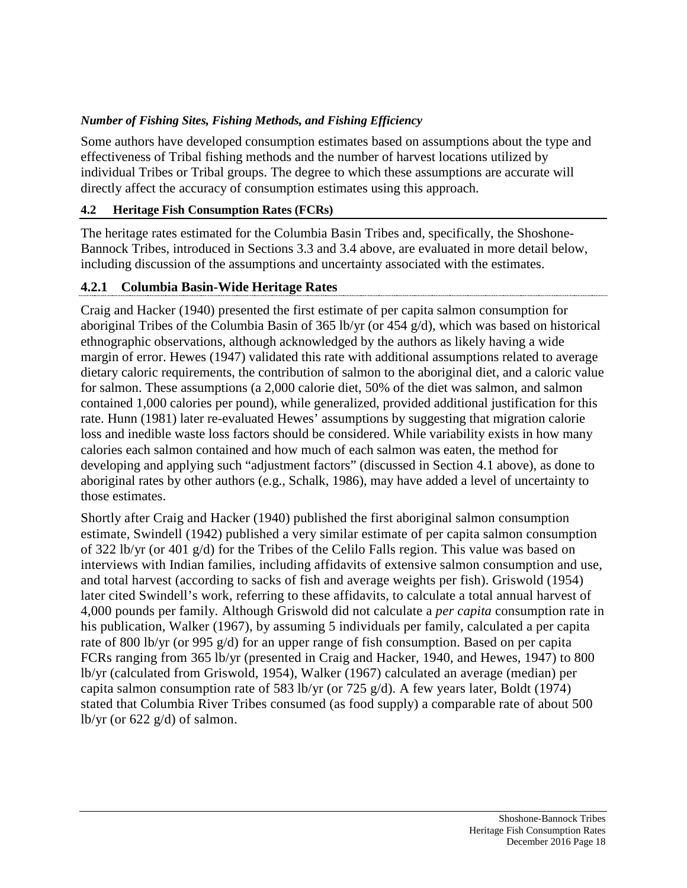### *Number of Fishing Sites, Fishing Methods, and Fishing Efficiency*

Some authors have developed consumption estimates based on assumptions about the type and effectiveness of Tribal fishing methods and the number of harvest locations utilized by individual Tribes or Tribal groups. The degree to which these assumptions are accurate will directly affect the accuracy of consumption estimates using this approach.

### **4.2 Heritage Fish Consumption Rates (FCRs)**

The heritage rates estimated for the Columbia Basin Tribes and, specifically, the Shoshone-Bannock Tribes, introduced in Sections 3.3 and 3.4 above, are evaluated in more detail below, including discussion of the assumptions and uncertainty associated with the estimates.

### **4.2.1 Columbia Basin-Wide Heritage Rates**

Craig and Hacker (1940) presented the first estimate of per capita salmon consumption for aboriginal Tribes of the Columbia Basin of 365 lb/yr (or 454 g/d), which was based on historical ethnographic observations, although acknowledged by the authors as likely having a wide margin of error. Hewes (1947) validated this rate with additional assumptions related to average dietary caloric requirements, the contribution of salmon to the aboriginal diet, and a caloric value for salmon. These assumptions (a 2,000 calorie diet, 50% of the diet was salmon, and salmon contained 1,000 calories per pound), while generalized, provided additional justification for this rate. Hunn (1981) later re-evaluated Hewes' assumptions by suggesting that migration calorie loss and inedible waste loss factors should be considered. While variability exists in how many calories each salmon contained and how much of each salmon was eaten, the method for developing and applying such "adjustment factors" (discussed in Section 4.1 above), as done to aboriginal rates by other authors (e.g., Schalk, 1986), may have added a level of uncertainty to those estimates.

Shortly after Craig and Hacker (1940) published the first aboriginal salmon consumption estimate, Swindell (1942) published a very similar estimate of per capita salmon consumption of 322 lb/yr (or 401 g/d) for the Tribes of the Celilo Falls region. This value was based on interviews with Indian families, including affidavits of extensive salmon consumption and use, and total harvest (according to sacks of fish and average weights per fish). Griswold (1954) later cited Swindell's work, referring to these affidavits, to calculate a total annual harvest of 4,000 pounds per family. Although Griswold did not calculate a *per capita* consumption rate in his publication, Walker (1967), by assuming 5 individuals per family, calculated a per capita rate of 800 lb/yr (or 995 g/d) for an upper range of fish consumption. Based on per capita FCRs ranging from 365 lb/yr (presented in Craig and Hacker, 1940, and Hewes, 1947) to 800 lb/yr (calculated from Griswold, 1954), Walker (1967) calculated an average (median) per capita salmon consumption rate of 583 lb/yr (or 725 g/d). A few years later, Boldt (1974) stated that Columbia River Tribes consumed (as food supply) a comparable rate of about 500 lb/yr (or  $622$  g/d) of salmon.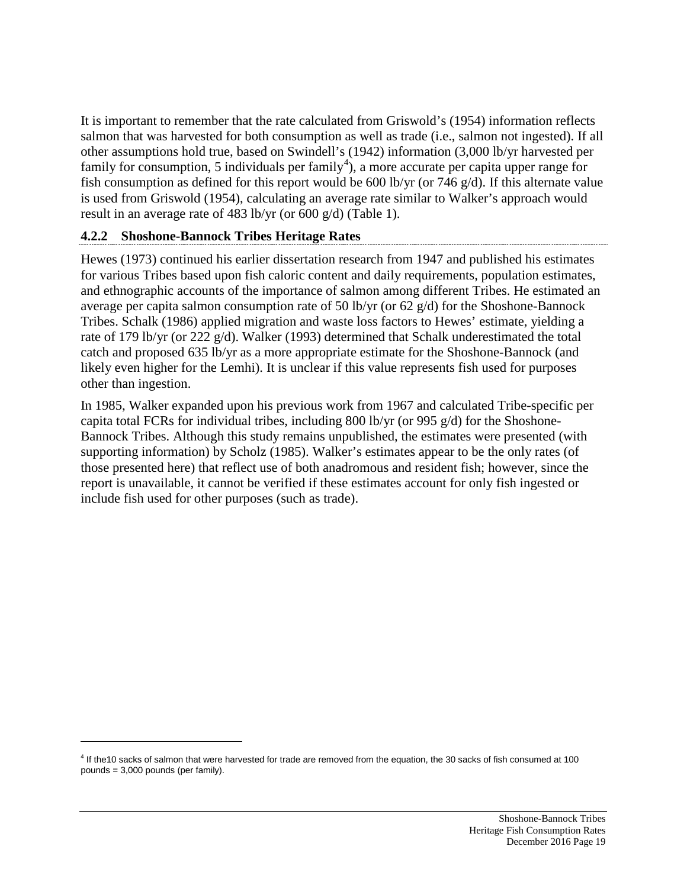It is important to remember that the rate calculated from Griswold's (1954) information reflects salmon that was harvested for both consumption as well as trade (i.e., salmon not ingested). If all other assumptions hold true, based on Swindell's (1942) information (3,000 lb/yr harvested per family for consumption, 5 individuals per family<sup>[4](#page-21-0)</sup>), a more accurate per capita upper range for fish consumption as defined for this report would be 600 lb/yr (or 746 g/d). If this alternate value is used from Griswold (1954), calculating an average rate similar to Walker's approach would result in an average rate of 483 lb/yr (or 600 g/d) (Table 1).

#### **4.2.2 Shoshone-Bannock Tribes Heritage Rates**

 $\overline{a}$ 

Hewes (1973) continued his earlier dissertation research from 1947 and published his estimates for various Tribes based upon fish caloric content and daily requirements, population estimates, and ethnographic accounts of the importance of salmon among different Tribes. He estimated an average per capita salmon consumption rate of 50 lb/yr (or 62 g/d) for the Shoshone-Bannock Tribes. Schalk (1986) applied migration and waste loss factors to Hewes' estimate, yielding a rate of 179 lb/yr (or 222 g/d). Walker (1993) determined that Schalk underestimated the total catch and proposed 635 lb/yr as a more appropriate estimate for the Shoshone-Bannock (and likely even higher for the Lemhi). It is unclear if this value represents fish used for purposes other than ingestion.

In 1985, Walker expanded upon his previous work from 1967 and calculated Tribe-specific per capita total FCRs for individual tribes, including 800 lb/yr (or 995 g/d) for the Shoshone-Bannock Tribes. Although this study remains unpublished, the estimates were presented (with supporting information) by Scholz (1985). Walker's estimates appear to be the only rates (of those presented here) that reflect use of both anadromous and resident fish; however, since the report is unavailable, it cannot be verified if these estimates account for only fish ingested or include fish used for other purposes (such as trade).

<span id="page-21-0"></span><sup>4</sup> If the10 sacks of salmon that were harvested for trade are removed from the equation, the 30 sacks of fish consumed at 100 pounds = 3,000 pounds (per family).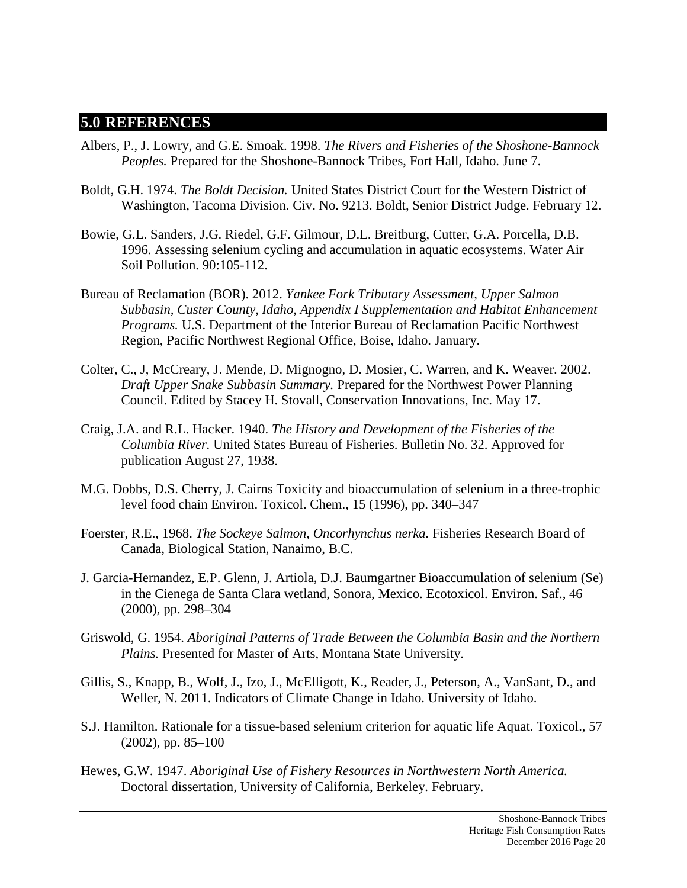### **5.0 REFERENCES**

- Albers, P., J. Lowry, and G.E. Smoak. 1998. *The Rivers and Fisheries of the Shoshone-Bannock Peoples.* Prepared for the Shoshone-Bannock Tribes, Fort Hall, Idaho. June 7.
- Boldt, G.H. 1974. *The Boldt Decision.* United States District Court for the Western District of Washington, Tacoma Division. Civ. No. 9213. Boldt, Senior District Judge. February 12.
- Bowie, G.L. Sanders, J.G. Riedel, G.F. Gilmour, D.L. Breitburg, Cutter, G.A. Porcella, D.B. 1996. Assessing selenium cycling and accumulation in aquatic ecosystems. Water Air Soil Pollution. 90:105-112.
- Bureau of Reclamation (BOR). 2012. *Yankee Fork Tributary Assessment, Upper Salmon Subbasin, Custer County, Idaho, Appendix I Supplementation and Habitat Enhancement Programs.* U.S. Department of the Interior Bureau of Reclamation Pacific Northwest Region, Pacific Northwest Regional Office, Boise, Idaho. January.
- Colter, C., J, McCreary, J. Mende, D. Mignogno, D. Mosier, C. Warren, and K. Weaver. 2002. *Draft Upper Snake Subbasin Summary.* Prepared for the Northwest Power Planning Council. Edited by Stacey H. Stovall, Conservation Innovations, Inc. May 17.
- Craig, J.A. and R.L. Hacker. 1940. *The History and Development of the Fisheries of the Columbia River.* United States Bureau of Fisheries. Bulletin No. 32. Approved for publication August 27, 1938.
- M.G. Dobbs, D.S. Cherry, J. Cairns Toxicity and bioaccumulation of selenium in a three-trophic level food chain Environ. Toxicol. Chem., 15 (1996), pp. 340–347
- Foerster, R.E., 1968. *The Sockeye Salmon, Oncorhynchus nerka.* Fisheries Research Board of Canada, Biological Station, Nanaimo, B.C.
- J. Garcia-Hernandez, E.P. Glenn, J. Artiola, D.J. Baumgartner Bioaccumulation of selenium (Se) in the Cienega de Santa Clara wetland, Sonora, Mexico. Ecotoxicol. Environ. Saf., 46 (2000), pp. 298–304
- Griswold, G. 1954. *Aboriginal Patterns of Trade Between the Columbia Basin and the Northern Plains.* Presented for Master of Arts, Montana State University.
- Gillis, S., Knapp, B., Wolf, J., Izo, J., McElligott, K., Reader, J., Peterson, A., VanSant, D., and Weller, N. 2011. Indicators of Climate Change in Idaho. University of Idaho.
- S.J. Hamilton. Rationale for a tissue-based selenium criterion for aquatic life Aquat. Toxicol., 57 (2002), pp. 85–100
- Hewes, G.W. 1947. *Aboriginal Use of Fishery Resources in Northwestern North America.* Doctoral dissertation, University of California, Berkeley. February.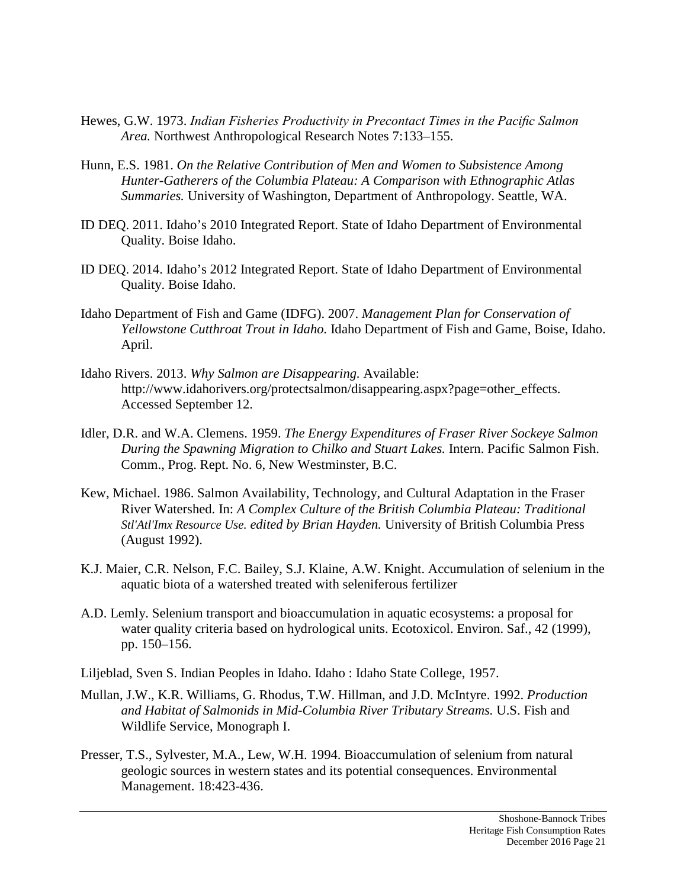- Hewes, G.W. 1973. *Indian Fisheries Productivity in Precontact Times in the Pacific Salmon Area.* Northwest Anthropological Research Notes 7:133–155.
- Hunn, E.S. 1981. *On the Relative Contribution of Men and Women to Subsistence Among Hunter-Gatherers of the Columbia Plateau: A Comparison with Ethnographic Atlas Summaries.* University of Washington, Department of Anthropology. Seattle, WA.
- ID DEQ. 2011. Idaho's 2010 Integrated Report. State of Idaho Department of Environmental Quality. Boise Idaho.
- ID DEQ. 2014. Idaho's 2012 Integrated Report. State of Idaho Department of Environmental Quality. Boise Idaho.
- Idaho Department of Fish and Game (IDFG). 2007. *Management Plan for Conservation of Yellowstone Cutthroat Trout in Idaho.* Idaho Department of Fish and Game, Boise, Idaho. April.
- Idaho Rivers. 2013. *Why Salmon are Disappearing.* Available: http://www.idahorivers.org/protectsalmon/disappearing.aspx?page=other\_effects. Accessed September 12.
- Idler, D.R. and W.A. Clemens. 1959. *The Energy Expenditures of Fraser River Sockeye Salmon During the Spawning Migration to Chilko and Stuart Lakes.* Intern. Pacific Salmon Fish. Comm., Prog. Rept. No. 6, New Westminster, B.C.
- Kew, Michael. 1986. [Salmon Availability, Technology, and Cultural Adaptation in the Fraser](http://books.google.com/books?hl=en&lr=&id=aPIEjEZUEUQC&oi=fnd&pg=PA177&dq=Salmon+abundance+technology+and+Human+Populations++fraser+river+kew&ots=kYHNVecha3&sig=ePUDTtYip8DxCjJ7jiuACtkPS7k)  [River Watershed.](http://books.google.com/books?hl=en&lr=&id=aPIEjEZUEUQC&oi=fnd&pg=PA177&dq=Salmon+abundance+technology+and+Human+Populations++fraser+river+kew&ots=kYHNVecha3&sig=ePUDTtYip8DxCjJ7jiuACtkPS7k) In: *A Complex Culture of the British Columbia Plateau: Traditional Stl'Atl'Imx Resource Use. edited by Brian Hayden.* University of British Columbia Press (August 1992).
- K.J. Maier, C.R. Nelson, F.C. Bailey, S.J. Klaine, A.W. Knight. Accumulation of selenium in the aquatic biota of a watershed treated with seleniferous fertilizer
- A.D. Lemly. Selenium transport and bioaccumulation in aquatic ecosystems: a proposal for water quality criteria based on hydrological units. Ecotoxicol. Environ. Saf., 42 (1999), pp. 150–156.
- Liljeblad, Sven S. Indian Peoples in Idaho. Idaho : Idaho State College, 1957.
- Mullan, J.W., K.R. Williams, G. Rhodus, T.W. Hillman, and J.D. McIntyre. 1992. *Production and Habitat of Salmonids in Mid-Columbia River Tributary Streams.* U.S. Fish and Wildlife Service, Monograph I.
- Presser, T.S., Sylvester, M.A., Lew, W.H. 1994. Bioaccumulation of selenium from natural geologic sources in western states and its potential consequences. Environmental Management. 18:423-436.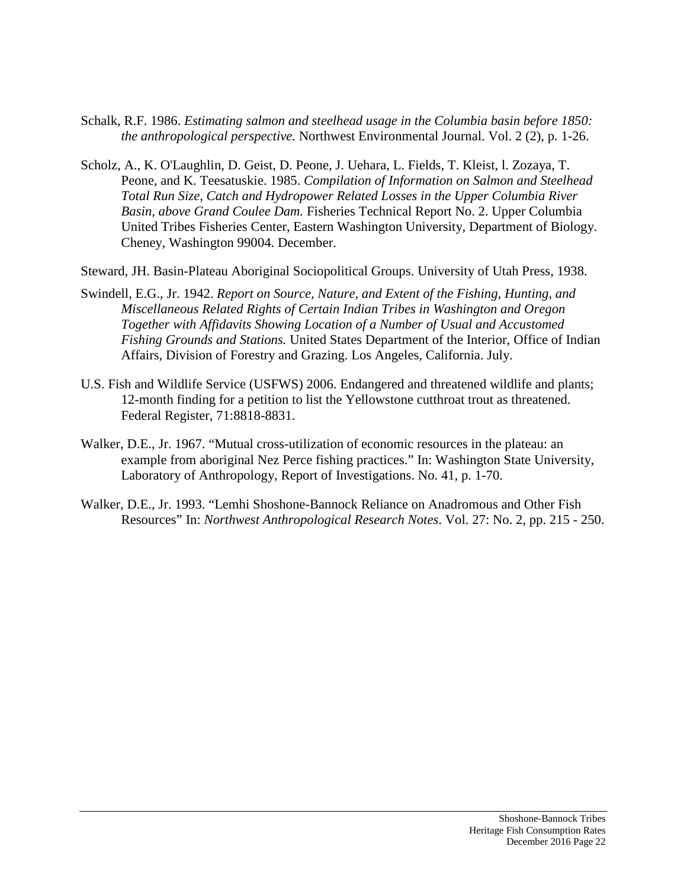- Schalk, R.F. 1986. *Estimating salmon and steelhead usage in the Columbia basin before 1850: the anthropological perspective.* Northwest Environmental Journal. Vol. 2 (2), p. 1-26.
- Scholz, A., K. O'Laughlin, D. Geist, D. Peone, J. Uehara, L. Fields, T. Kleist, l. Zozaya, T. Peone, and K. Teesatuskie. 1985. *Compilation of Information on Salmon and Steelhead Total Run Size, Catch and Hydropower Related Losses in the Upper Columbia River Basin, above Grand Coulee Dam.* Fisheries Technical Report No. 2. Upper Columbia United Tribes Fisheries Center, Eastern Washington University, Department of Biology. Cheney, Washington 99004. December.
- Steward, JH. Basin-Plateau Aboriginal Sociopolitical Groups. University of Utah Press, 1938.
- Swindell, E.G., Jr. 1942. *Report on Source, Nature, and Extent of the Fishing, Hunting, and Miscellaneous Related Rights of Certain Indian Tribes in Washington and Oregon Together with Affidavits Showing Location of a Number of Usual and Accustomed Fishing Grounds and Stations.* United States Department of the Interior, Office of Indian Affairs, Division of Forestry and Grazing. Los Angeles, California. July.
- U.S. Fish and Wildlife Service (USFWS) 2006. Endangered and threatened wildlife and plants; 12-month finding for a petition to list the Yellowstone cutthroat trout as threatened. Federal Register, 71:8818-8831.
- Walker, D.E., Jr. 1967. "Mutual cross-utilization of economic resources in the plateau: an example from aboriginal Nez Perce fishing practices." In: Washington State University, Laboratory of Anthropology, Report of Investigations. No. 41, p. 1-70.
- Walker, D.E., Jr. 1993. "Lemhi Shoshone-Bannock Reliance on Anadromous and Other Fish Resources" In: *Northwest Anthropological Research Notes*. Vol. 27: No. 2, pp. 215 - 250.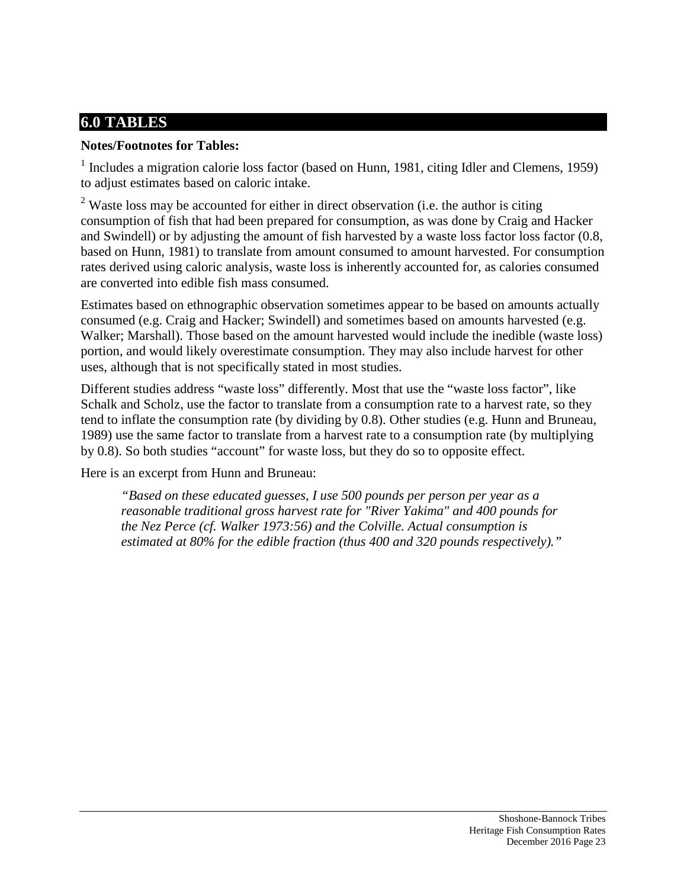# **6.0 TABLES**

### **Notes/Footnotes for Tables:**

 $<sup>1</sup>$  Includes a migration calorie loss factor (based on Hunn, 1981, citing Idler and Clemens, 1959)</sup> to adjust estimates based on caloric intake.

<sup>2</sup> Waste loss may be accounted for either in direct observation (i.e. the author is citing consumption of fish that had been prepared for consumption, as was done by Craig and Hacker and Swindell) or by adjusting the amount of fish harvested by a waste loss factor loss factor (0.8, based on Hunn, 1981) to translate from amount consumed to amount harvested. For consumption rates derived using caloric analysis, waste loss is inherently accounted for, as calories consumed are converted into edible fish mass consumed.

Estimates based on ethnographic observation sometimes appear to be based on amounts actually consumed (e.g. Craig and Hacker; Swindell) and sometimes based on amounts harvested (e.g. Walker; Marshall). Those based on the amount harvested would include the inedible (waste loss) portion, and would likely overestimate consumption. They may also include harvest for other uses, although that is not specifically stated in most studies.

Different studies address "waste loss" differently. Most that use the "waste loss factor", like Schalk and Scholz, use the factor to translate from a consumption rate to a harvest rate, so they tend to inflate the consumption rate (by dividing by 0.8). Other studies (e.g. Hunn and Bruneau, 1989) use the same factor to translate from a harvest rate to a consumption rate (by multiplying by 0.8). So both studies "account" for waste loss, but they do so to opposite effect.

Here is an excerpt from Hunn and Bruneau:

*"Based on these educated guesses, I use 500 pounds per person per year as a reasonable traditional gross harvest rate for "River Yakima" and 400 pounds for the Nez Perce (cf. Walker 1973:56) and the Colville. Actual consumption is estimated at 80% for the edible fraction (thus 400 and 320 pounds respectively)."*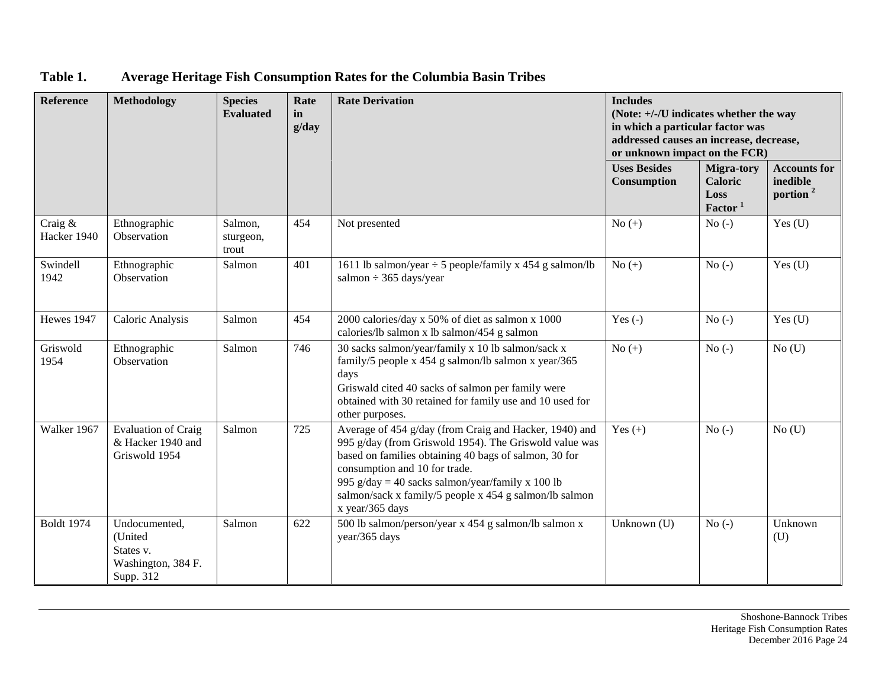| <b>Reference</b>          | <b>Methodology</b>                                                       | <b>Species</b><br><b>Evaluated</b> | Rate<br>in<br>g/day | <b>Rate Derivation</b>                                                                                                                                                                                                                                                                                                                      | <b>Includes</b><br>(Note: +/-/U indicates whether the way<br>in which a particular factor was<br>addressed causes an increase, decrease,<br>or unknown impact on the FCR) |                                                             |                                                         |
|---------------------------|--------------------------------------------------------------------------|------------------------------------|---------------------|---------------------------------------------------------------------------------------------------------------------------------------------------------------------------------------------------------------------------------------------------------------------------------------------------------------------------------------------|---------------------------------------------------------------------------------------------------------------------------------------------------------------------------|-------------------------------------------------------------|---------------------------------------------------------|
|                           |                                                                          |                                    |                     |                                                                                                                                                                                                                                                                                                                                             | <b>Uses Besides</b><br>Consumption                                                                                                                                        | Migra-tory<br><b>Caloric</b><br>Loss<br>Factor <sup>1</sup> | <b>Accounts for</b><br>inedible<br>portion <sup>2</sup> |
| Craig $\&$<br>Hacker 1940 | Ethnographic<br>Observation                                              | Salmon,<br>sturgeon,<br>trout      | 454                 | Not presented                                                                                                                                                                                                                                                                                                                               | $No (+)$                                                                                                                                                                  | $No(-)$                                                     | Yes $(U)$                                               |
| Swindell<br>1942          | Ethnographic<br>Observation                                              | Salmon                             | 401                 | 1611 lb salmon/year $\div$ 5 people/family x 454 g salmon/lb<br>salmon $\div$ 365 days/year                                                                                                                                                                                                                                                 | $No (+)$                                                                                                                                                                  | $No(-)$                                                     | Yes $(U)$                                               |
| Hewes 1947                | Caloric Analysis                                                         | Salmon                             | 454                 | 2000 calories/day x 50% of diet as salmon x 1000<br>calories/lb salmon x lb salmon/454 g salmon                                                                                                                                                                                                                                             | Yes $(-)$                                                                                                                                                                 | $No(-)$                                                     | Yes $(U)$                                               |
| Griswold<br>1954          | Ethnographic<br>Observation                                              | Salmon                             | 746                 | 30 sacks salmon/year/family x 10 lb salmon/sack x<br>family/5 people x 454 g salmon/lb salmon x year/365<br>days<br>Griswald cited 40 sacks of salmon per family were<br>obtained with 30 retained for family use and 10 used for<br>other purposes.                                                                                        | No $(+)$                                                                                                                                                                  | $No(-)$                                                     | $No$ (U)                                                |
| Walker 1967               | <b>Evaluation of Craig</b><br>& Hacker 1940 and<br>Griswold 1954         | Salmon                             | 725                 | Average of 454 g/day (from Craig and Hacker, 1940) and<br>995 g/day (from Griswold 1954). The Griswold value was<br>based on families obtaining 40 bags of salmon, 30 for<br>consumption and 10 for trade.<br>995 g/day = 40 sacks salmon/year/family x 100 lb<br>salmon/sack x family/5 people x 454 g salmon/lb salmon<br>x year/365 days | Yes $(+)$                                                                                                                                                                 | $No(-)$                                                     | $No$ (U)                                                |
| <b>Boldt</b> 1974         | Undocumented,<br>(United<br>States v.<br>Washington, 384 F.<br>Supp. 312 | Salmon                             | 622                 | 500 lb salmon/person/year x 454 g salmon/lb salmon x<br>year/365 days                                                                                                                                                                                                                                                                       | Unknown (U)                                                                                                                                                               | $No(-)$                                                     | Unknown<br>(U)                                          |

## **Table 1. Average Heritage Fish Consumption Rates for the Columbia Basin Tribes**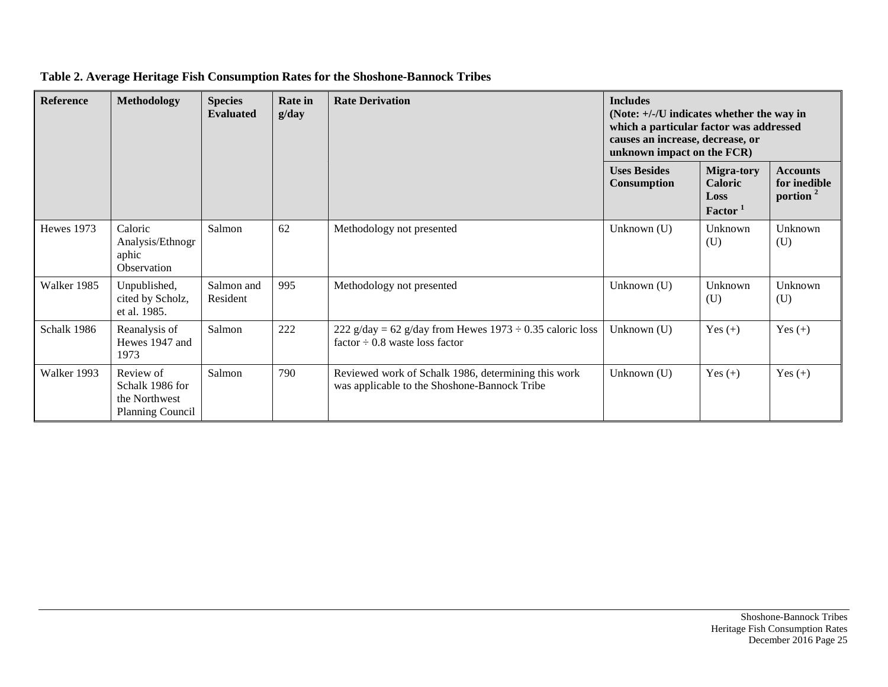| Reference         | <b>Methodology</b>                                                       | <b>Species</b><br><b>Evaluated</b> | <b>Rate in</b><br>g/day | <b>Rate Derivation</b>                                                                               | <b>Includes</b><br>(Note: $+/-/U$ indicates whether the way in<br>which a particular factor was addressed<br>causes an increase, decrease, or<br>unknown impact on the FCR) |                                                                    |                                                         |
|-------------------|--------------------------------------------------------------------------|------------------------------------|-------------------------|------------------------------------------------------------------------------------------------------|-----------------------------------------------------------------------------------------------------------------------------------------------------------------------------|--------------------------------------------------------------------|---------------------------------------------------------|
|                   |                                                                          |                                    |                         |                                                                                                      | <b>Uses Besides</b><br><b>Consumption</b>                                                                                                                                   | <b>Migra-tory</b><br><b>Caloric</b><br>Loss<br>Factor <sup>1</sup> | <b>Accounts</b><br>for inedible<br>portion <sup>2</sup> |
| <b>Hewes</b> 1973 | Caloric<br>Analysis/Ethnogr<br>aphic<br>Observation                      | Salmon                             | 62                      | Methodology not presented                                                                            | Unknown (U)                                                                                                                                                                 | Unknown<br>(U)                                                     | Unknown<br>(U)                                          |
| Walker 1985       | Unpublished,<br>cited by Scholz,<br>et al. 1985.                         | Salmon and<br>Resident             | 995                     | Methodology not presented                                                                            | Unknown (U)                                                                                                                                                                 | Unknown<br>(U)                                                     | Unknown<br>(U)                                          |
| Schalk 1986       | Reanalysis of<br>Hewes 1947 and<br>1973                                  | Salmon                             | 222                     | 222 g/day = 62 g/day from Hewes $1973 \div 0.35$ caloric loss<br>factor $\div$ 0.8 waste loss factor | Unknown (U)                                                                                                                                                                 | Yes $(+)$                                                          | Yes $(+)$                                               |
| Walker 1993       | Review of<br>Schalk 1986 for<br>the Northwest<br><b>Planning Council</b> | Salmon                             | 790                     | Reviewed work of Schalk 1986, determining this work<br>was applicable to the Shoshone-Bannock Tribe  | Unknown (U)                                                                                                                                                                 | Yes $(+)$                                                          | Yes $(+)$                                               |

#### **Table 2. Average Heritage Fish Consumption Rates for the Shoshone-Bannock Tribes**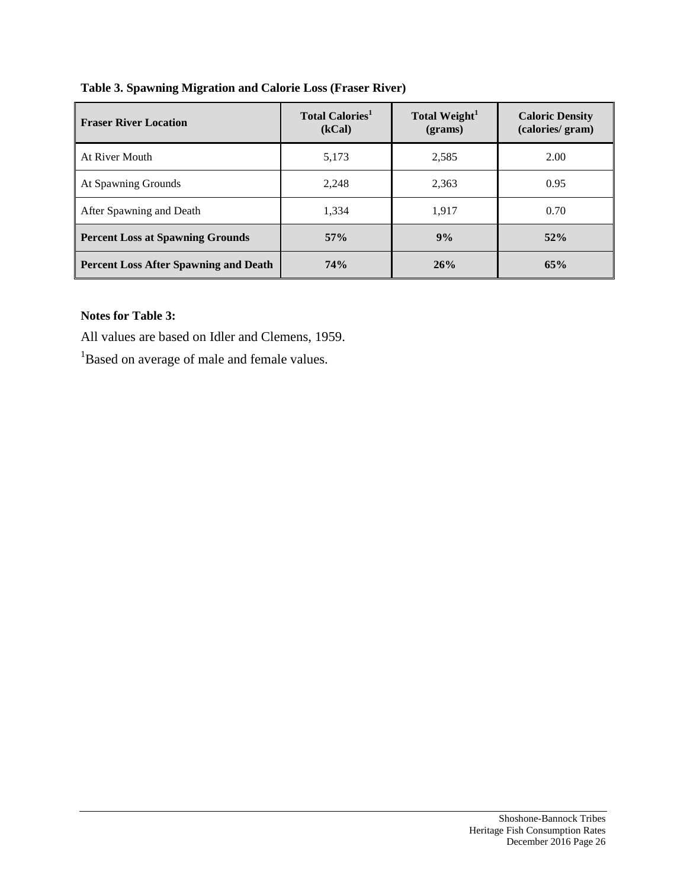| <b>Fraser River Location</b>                 | <b>Total Calories</b> <sup>1</sup><br>(kCal) | Total Weight <sup>1</sup><br>$2 (grams)$ | <b>Caloric Density</b><br>(calories/gram) |
|----------------------------------------------|----------------------------------------------|------------------------------------------|-------------------------------------------|
| At River Mouth                               | 5,173                                        | 2,585                                    | 2.00                                      |
| At Spawning Grounds                          | 2,248                                        | 2,363                                    | 0.95                                      |
| After Spawning and Death                     | 1,334                                        | 1.917                                    | 0.70                                      |
| <b>Percent Loss at Spawning Grounds</b>      | 57%                                          | 9%                                       | 52%                                       |
| <b>Percent Loss After Spawning and Death</b> | 74%                                          | 26%                                      | 65%                                       |

#### **Notes for Table 3:**

All values are based on Idler and Clemens, 1959.

<sup>1</sup>Based on average of male and female values.